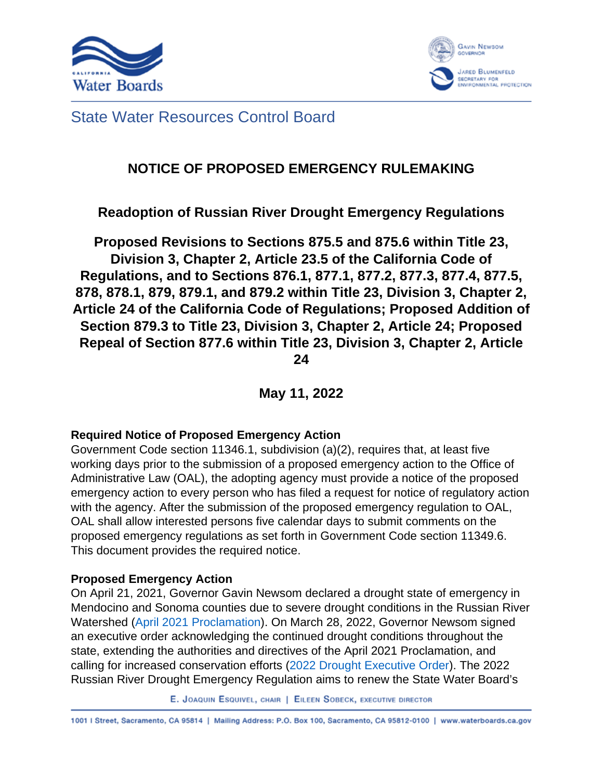



#### State Water Resources Control Board

#### **NOTICE OF PROPOSED EMERGENCY RULEMAKING**

#### **Readoption of Russian River Drought Emergency Regulations**

**Proposed Revisions to Sections 875.5 and 875.6 within Title 23, Division 3, Chapter 2, Article 23.5 of the California Code of Regulations, and to Sections 876.1, 877.1, 877.2, 877.3, 877.4, 877.5, 878, 878.1, 879, 879.1, and 879.2 within Title 23, Division 3, Chapter 2, Article 24 of the California Code of Regulations; Proposed Addition of Section 879.3 to Title 23, Division 3, Chapter 2, Article 24; Proposed Repeal of Section 877.6 within Title 23, Division 3, Chapter 2, Article 24**

**May 11, 2022**

#### **Required Notice of Proposed Emergency Action**

Government Code section 11346.1, subdivision (a)(2), requires that, at least five working days prior to the submission of a proposed emergency action to the Office of Administrative Law (OAL), the adopting agency must provide a notice of the proposed emergency action to every person who has filed a request for notice of regulatory action with the agency. After the submission of the proposed emergency regulation to OAL, OAL shall allow interested persons five calendar days to submit comments on the proposed emergency regulations as set forth in Government Code section 11349.6. This document provides the required notice.

#### **Proposed Emergency Action**

On April 21, 2021, Governor Gavin Newsom declared a drought state of emergency in Mendocino and Sonoma counties due to severe drought conditions in the Russian River Watershed (April 2021 Proclamation). On March 28, 2022, Governor Newsom signed an executive order acknowledging the continued drought conditions throughout the state, extending the authorities and directives of the April 2021 Proclamation, and calling for increased conservation efforts (2022 Drought Executive Order). The 2022 Russian River Drought Emergency Regulation aims to renew the State Water Board's

E. JOAQUIN ESQUIVEL, CHAIR | EILEEN SOBECK, EXECUTIVE DIRECTOR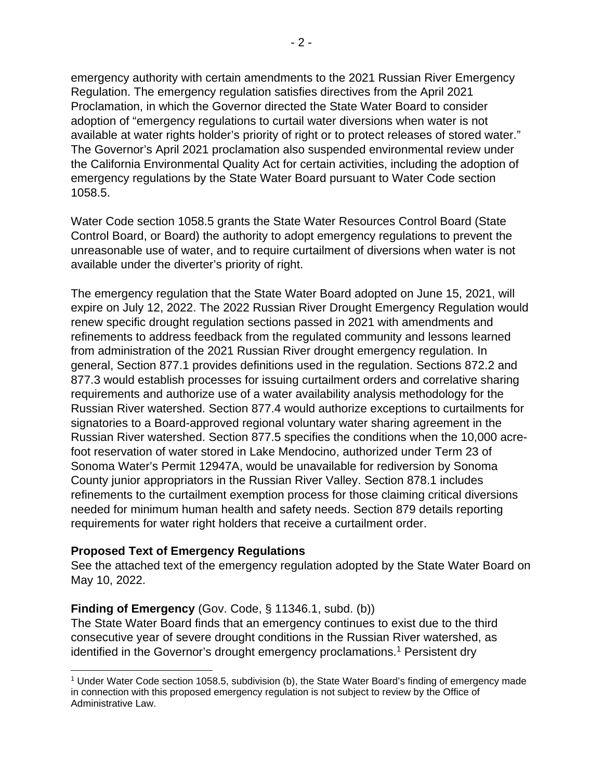emergency authority with certain amendments to the 2021 Russian River Emergency Regulation. The emergency regulation satisfies directives from the April 2021 Proclamation, in which the Governor directed the State Water Board to consider adoption of "emergency regulations to curtail water diversions when water is not available at water rights holder's priority of right or to protect releases of stored water." The Governor's April 2021 proclamation also suspended environmental review under the California Environmental Quality Act for certain activities, including the adoption of emergency regulations by the State Water Board pursuant to Water Code section 1058.5.

Water Code section 1058.5 grants the State Water Resources Control Board (State Control Board, or Board) the authority to adopt emergency regulations to prevent the unreasonable use of water, and to require curtailment of diversions when water is not available under the diverter's priority of right.

The emergency regulation that the State Water Board adopted on June 15, 2021, will expire on July 12, 2022. The 2022 Russian River Drought Emergency Regulation would renew specific drought regulation sections passed in 2021 with amendments and refinements to address feedback from the regulated community and lessons learned from administration of the 2021 Russian River drought emergency regulation. In general, Section 877.1 provides definitions used in the regulation. Sections 872.2 and 877.3 would establish processes for issuing curtailment orders and correlative sharing requirements and authorize use of a water availability analysis methodology for the Russian River watershed. Section 877.4 would authorize exceptions to curtailments for signatories to a Board-approved regional voluntary water sharing agreement in the Russian River watershed. Section 877.5 specifies the conditions when the 10,000 acrefoot reservation of water stored in Lake Mendocino, authorized under Term 23 of Sonoma Water's Permit 12947A, would be unavailable for rediversion by Sonoma County junior appropriators in the Russian River Valley. Section 878.1 includes refinements to the curtailment exemption process for those claiming critical diversions needed for minimum human health and safety needs. Section 879 details reporting requirements for water right holders that receive a curtailment order.

#### **Proposed Text of Emergency Regulations**

See the attached text of the emergency regulation adopted by the State Water Board on May 10, 2022.

#### **Finding of Emergency** (Gov. Code, § 11346.1, subd. (b))

The State Water Board finds that an emergency continues to exist due to the third consecutive year of severe drought conditions in the Russian River watershed, as identified in the Governor's drought emergency proclamations.<sup>1</sup> Persistent dry

<sup>1</sup> Under Water Code section 1058.5, subdivision (b), the State Water Board's finding of emergency made in connection with this proposed emergency regulation is not subject to review by the Office of Administrative Law.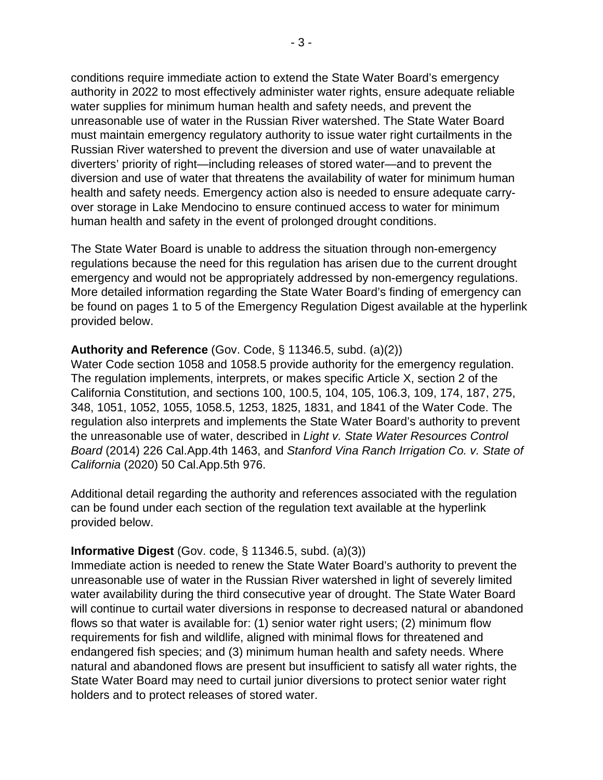conditions require immediate action to extend the State Water Board's emergency authority in 2022 to most effectively administer water rights, ensure adequate reliable water supplies for minimum human health and safety needs, and prevent the unreasonable use of water in the Russian River watershed. The State Water Board must maintain emergency regulatory authority to issue water right curtailments in the Russian River watershed to prevent the diversion and use of water unavailable at diverters' priority of right—including releases of stored water—and to prevent the diversion and use of water that threatens the availability of water for minimum human health and safety needs. Emergency action also is needed to ensure adequate carryover storage in Lake Mendocino to ensure continued access to water for minimum human health and safety in the event of prolonged drought conditions.

The State Water Board is unable to address the situation through non-emergency regulations because the need for this regulation has arisen due to the current drought emergency and would not be appropriately addressed by non-emergency regulations. More detailed information regarding the State Water Board's finding of emergency can be found on pages 1 to 5 of the Emergency Regulation Digest available at the hyperlink provided below.

#### **Authority and Reference** (Gov. Code, § 11346.5, subd. (a)(2))

Water Code section 1058 and 1058.5 provide authority for the emergency regulation. The regulation implements, interprets, or makes specific Article X, section 2 of the California Constitution, and sections 100, 100.5, 104, 105, 106.3, 109, 174, 187, 275, 348, 1051, 1052, 1055, 1058.5, 1253, 1825, 1831, and 1841 of the Water Code. The regulation also interprets and implements the State Water Board's authority to prevent the unreasonable use of water, described in *Light v. State Water Resources Control Board* (2014) 226 Cal.App.4th 1463, and *Stanford Vina Ranch Irrigation Co. v. State of California* (2020) 50 Cal.App.5th 976.

Additional detail regarding the authority and references associated with the regulation can be found under each section of the regulation text available at the hyperlink provided below.

#### **Informative Digest** (Gov. code, § 11346.5, subd. (a)(3))

Immediate action is needed to renew the State Water Board's authority to prevent the unreasonable use of water in the Russian River watershed in light of severely limited water availability during the third consecutive year of drought. The State Water Board will continue to curtail water diversions in response to decreased natural or abandoned flows so that water is available for: (1) senior water right users; (2) minimum flow requirements for fish and wildlife, aligned with minimal flows for threatened and endangered fish species; and (3) minimum human health and safety needs. Where natural and abandoned flows are present but insufficient to satisfy all water rights, the State Water Board may need to curtail junior diversions to protect senior water right holders and to protect releases of stored water.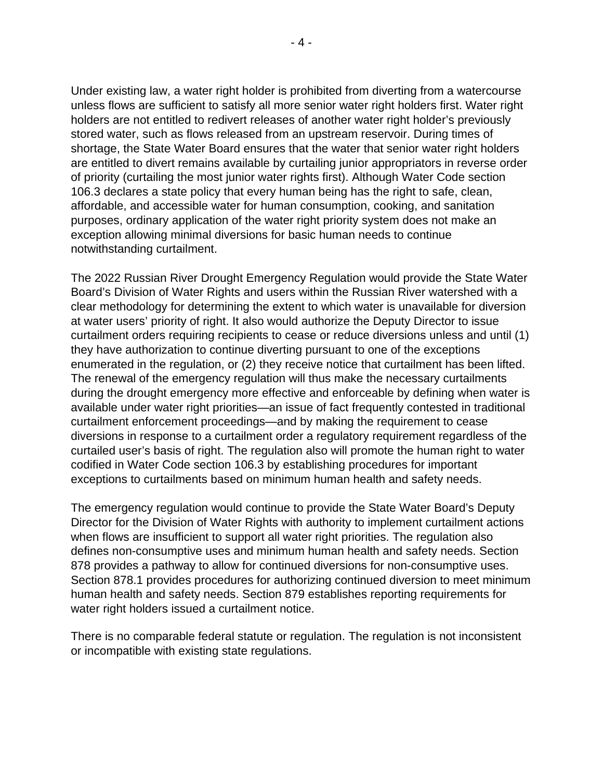Under existing law, a water right holder is prohibited from diverting from a watercourse unless flows are sufficient to satisfy all more senior water right holders first. Water right holders are not entitled to redivert releases of another water right holder's previously stored water, such as flows released from an upstream reservoir. During times of shortage, the State Water Board ensures that the water that senior water right holders are entitled to divert remains available by curtailing junior appropriators in reverse order of priority (curtailing the most junior water rights first). Although Water Code section 106.3 declares a state policy that every human being has the right to safe, clean, affordable, and accessible water for human consumption, cooking, and sanitation purposes, ordinary application of the water right priority system does not make an exception allowing minimal diversions for basic human needs to continue notwithstanding curtailment.

The 2022 Russian River Drought Emergency Regulation would provide the State Water Board's Division of Water Rights and users within the Russian River watershed with a clear methodology for determining the extent to which water is unavailable for diversion at water users' priority of right. It also would authorize the Deputy Director to issue curtailment orders requiring recipients to cease or reduce diversions unless and until (1) they have authorization to continue diverting pursuant to one of the exceptions enumerated in the regulation, or (2) they receive notice that curtailment has been lifted. The renewal of the emergency regulation will thus make the necessary curtailments during the drought emergency more effective and enforceable by defining when water is available under water right priorities—an issue of fact frequently contested in traditional curtailment enforcement proceedings—and by making the requirement to cease diversions in response to a curtailment order a regulatory requirement regardless of the curtailed user's basis of right. The regulation also will promote the human right to water codified in Water Code section 106.3 by establishing procedures for important exceptions to curtailments based on minimum human health and safety needs.

The emergency regulation would continue to provide the State Water Board's Deputy Director for the Division of Water Rights with authority to implement curtailment actions when flows are insufficient to support all water right priorities. The regulation also defines non-consumptive uses and minimum human health and safety needs. Section 878 provides a pathway to allow for continued diversions for non-consumptive uses. Section 878.1 provides procedures for authorizing continued diversion to meet minimum human health and safety needs. Section 879 establishes reporting requirements for water right holders issued a curtailment notice.

There is no comparable federal statute or regulation. The regulation is not inconsistent or incompatible with existing state regulations.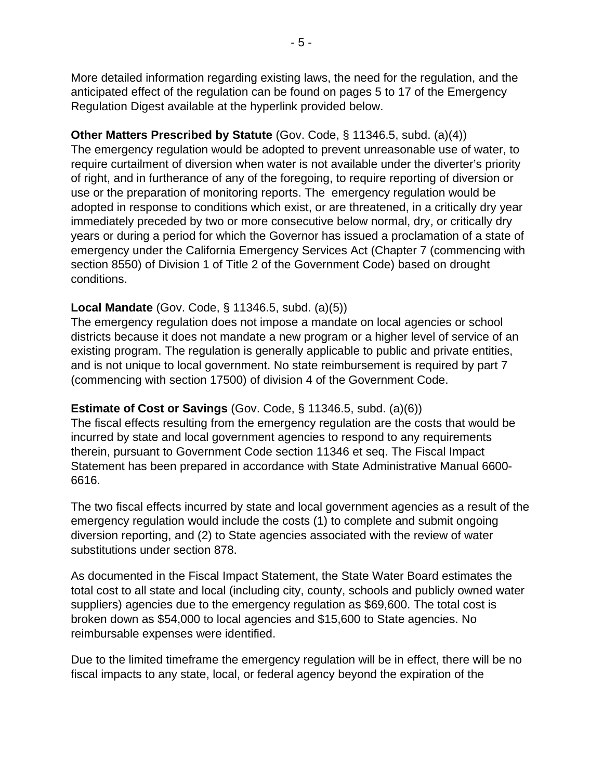More detailed information regarding existing laws, the need for the regulation, and the anticipated effect of the regulation can be found on pages 5 to 17 of the Emergency Regulation Digest available at the hyperlink provided below.

#### **Other Matters Prescribed by Statute** (Gov. Code, § 11346.5, subd. (a)(4))

The emergency regulation would be adopted to prevent unreasonable use of water, to require curtailment of diversion when water is not available under the diverter's priority of right, and in furtherance of any of the foregoing, to require reporting of diversion or use or the preparation of monitoring reports. The emergency regulation would be adopted in response to conditions which exist, or are threatened, in a critically dry year immediately preceded by two or more consecutive below normal, dry, or critically dry years or during a period for which the Governor has issued a proclamation of a state of emergency under the California Emergency Services Act (Chapter 7 (commencing with section 8550) of Division 1 of Title 2 of the Government Code) based on drought conditions.

#### **Local Mandate** (Gov. Code, § 11346.5, subd. (a)(5))

The emergency regulation does not impose a mandate on local agencies or school districts because it does not mandate a new program or a higher level of service of an existing program. The regulation is generally applicable to public and private entities, and is not unique to local government. No state reimbursement is required by part 7 (commencing with section 17500) of division 4 of the Government Code.

#### **Estimate of Cost or Savings** (Gov. Code, § 11346.5, subd. (a)(6))

The fiscal effects resulting from the emergency regulation are the costs that would be incurred by state and local government agencies to respond to any requirements therein, pursuant to Government Code section 11346 et seq. The Fiscal Impact Statement has been prepared in accordance with State Administrative Manual 6600- 6616.

The two fiscal effects incurred by state and local government agencies as a result of the emergency regulation would include the costs (1) to complete and submit ongoing diversion reporting, and (2) to State agencies associated with the review of water substitutions under section 878.

As documented in the Fiscal Impact Statement, the State Water Board estimates the total cost to all state and local (including city, county, schools and publicly owned water suppliers) agencies due to the emergency regulation as \$69,600. The total cost is broken down as \$54,000 to local agencies and \$15,600 to State agencies. No reimbursable expenses were identified.

Due to the limited timeframe the emergency regulation will be in effect, there will be no fiscal impacts to any state, local, or federal agency beyond the expiration of the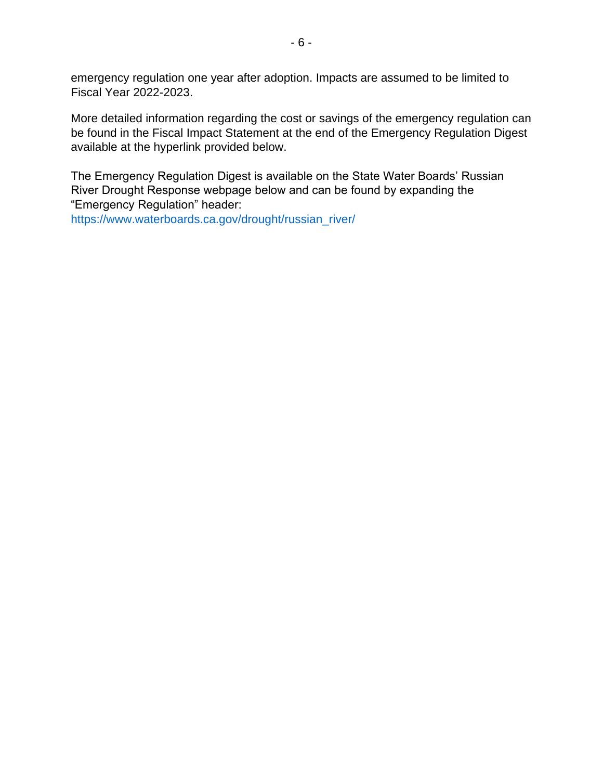emergency regulation one year after adoption. Impacts are assumed to be limited to Fiscal Year 2022-2023.

More detailed information regarding the cost or savings of the emergency regulation can be found in the Fiscal Impact Statement at the end of the Emergency Regulation Digest available at the hyperlink provided below.

The Emergency Regulation Digest is available on the State Water Boards' Russian River Drought Response webpage below and can be found by expanding the "Emergency Regulation" header:

https://www.waterboards.ca.gov/drought/russian\_river/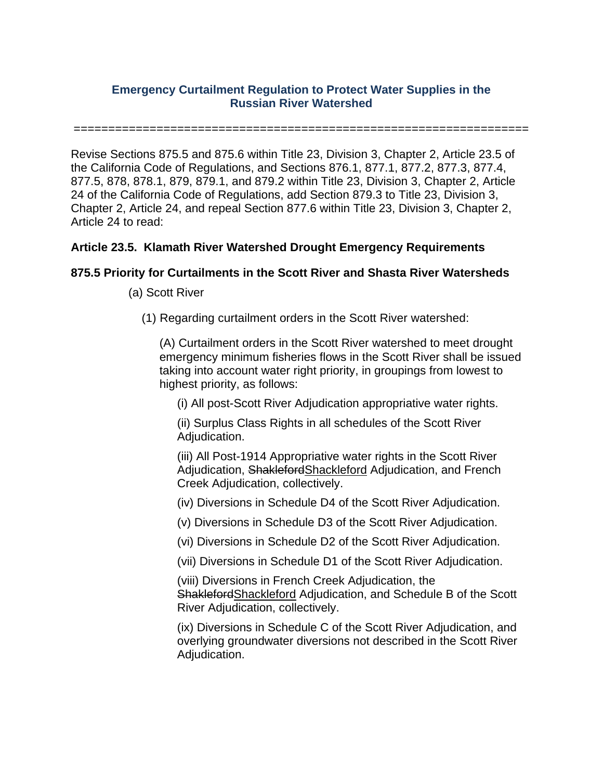#### **Emergency Curtailment Regulation to Protect Water Supplies in the Russian River Watershed**

==================================================================

Revise Sections 875.5 and 875.6 within Title 23, Division 3, Chapter 2, Article 23.5 of the California Code of Regulations, and Sections 876.1, 877.1, 877.2, 877.3, 877.4, 877.5, 878, 878.1, 879, 879.1, and 879.2 within Title 23, Division 3, Chapter 2, Article 24 of the California Code of Regulations, add Section 879.3 to Title 23, Division 3, Chapter 2, Article 24, and repeal Section 877.6 within Title 23, Division 3, Chapter 2, Article 24 to read:

#### **Article 23.5. Klamath River Watershed Drought Emergency Requirements**

#### **875.5 Priority for Curtailments in the Scott River and Shasta River Watersheds**

- (a) Scott River
	- (1) Regarding curtailment orders in the Scott River watershed:

(A) Curtailment orders in the Scott River watershed to meet drought emergency minimum fisheries flows in the Scott River shall be issued taking into account water right priority, in groupings from lowest to highest priority, as follows:

(i) All post-Scott River Adjudication appropriative water rights.

(ii) Surplus Class Rights in all schedules of the Scott River Adjudication.

(iii) All Post-1914 Appropriative water rights in the Scott River Adjudication, ShaklefordShackleford Adjudication, and French Creek Adjudication, collectively.

(iv) Diversions in Schedule D4 of the Scott River Adjudication.

(v) Diversions in Schedule D3 of the Scott River Adjudication.

(vi) Diversions in Schedule D2 of the Scott River Adjudication.

(vii) Diversions in Schedule D1 of the Scott River Adjudication.

(viii) Diversions in French Creek Adjudication, the ShaklefordShackleford Adjudication, and Schedule B of the Scott River Adjudication, collectively.

(ix) Diversions in Schedule C of the Scott River Adjudication, and overlying groundwater diversions not described in the Scott River Adjudication.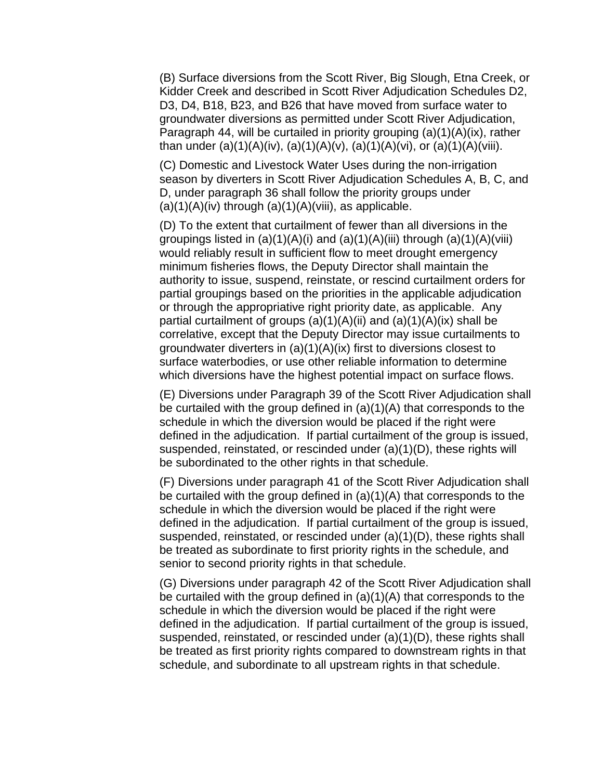(B) Surface diversions from the Scott River, Big Slough, Etna Creek, or Kidder Creek and described in Scott River Adjudication Schedules D2, D3, D4, B18, B23, and B26 that have moved from surface water to groundwater diversions as permitted under Scott River Adjudication, Paragraph 44, will be curtailed in priority grouping (a)(1)(A)(ix), rather than under (a)(1)(A)(iv), (a)(1)(A)(v), (a)(1)(A)(vi), or (a)(1)(A)(viii).

(C) Domestic and Livestock Water Uses during the non-irrigation season by diverters in Scott River Adjudication Schedules A, B, C, and D, under paragraph 36 shall follow the priority groups under  $(a)(1)(A)(iv)$  through  $(a)(1)(A)(viii)$ , as applicable.

(D) To the extent that curtailment of fewer than all diversions in the groupings listed in  $(a)(1)(A)(i)$  and  $(a)(1)(A)(iii)$  through  $(a)(1)(A)(viii)$ would reliably result in sufficient flow to meet drought emergency minimum fisheries flows, the Deputy Director shall maintain the authority to issue, suspend, reinstate, or rescind curtailment orders for partial groupings based on the priorities in the applicable adjudication or through the appropriative right priority date, as applicable. Any partial curtailment of groups  $(a)(1)(A)(ii)$  and  $(a)(1)(A)(ix)$  shall be correlative, except that the Deputy Director may issue curtailments to groundwater diverters in (a)(1)(A)(ix) first to diversions closest to surface waterbodies, or use other reliable information to determine which diversions have the highest potential impact on surface flows.

(E) Diversions under Paragraph 39 of the Scott River Adjudication shall be curtailed with the group defined in (a)(1)(A) that corresponds to the schedule in which the diversion would be placed if the right were defined in the adjudication. If partial curtailment of the group is issued, suspended, reinstated, or rescinded under (a)(1)(D), these rights will be subordinated to the other rights in that schedule.

(F) Diversions under paragraph 41 of the Scott River Adjudication shall be curtailed with the group defined in (a)(1)(A) that corresponds to the schedule in which the diversion would be placed if the right were defined in the adjudication. If partial curtailment of the group is issued, suspended, reinstated, or rescinded under (a)(1)(D), these rights shall be treated as subordinate to first priority rights in the schedule, and senior to second priority rights in that schedule.

(G) Diversions under paragraph 42 of the Scott River Adjudication shall be curtailed with the group defined in (a)(1)(A) that corresponds to the schedule in which the diversion would be placed if the right were defined in the adjudication. If partial curtailment of the group is issued, suspended, reinstated, or rescinded under (a)(1)(D), these rights shall be treated as first priority rights compared to downstream rights in that schedule, and subordinate to all upstream rights in that schedule.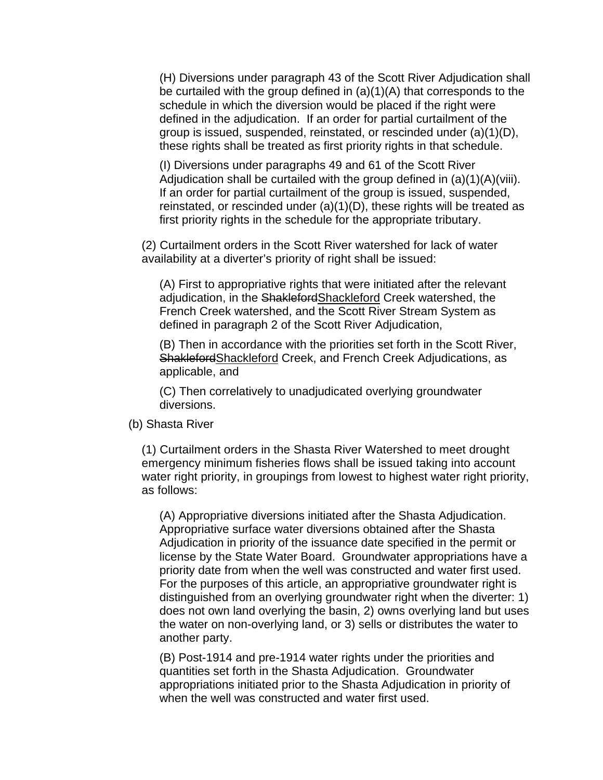(H) Diversions under paragraph 43 of the Scott River Adjudication shall be curtailed with the group defined in (a)(1)(A) that corresponds to the schedule in which the diversion would be placed if the right were defined in the adjudication. If an order for partial curtailment of the group is issued, suspended, reinstated, or rescinded under (a)(1)(D), these rights shall be treated as first priority rights in that schedule.

(I) Diversions under paragraphs 49 and 61 of the Scott River Adjudication shall be curtailed with the group defined in (a)(1)(A)(viii). If an order for partial curtailment of the group is issued, suspended, reinstated, or rescinded under (a)(1)(D), these rights will be treated as first priority rights in the schedule for the appropriate tributary.

(2) Curtailment orders in the Scott River watershed for lack of water availability at a diverter's priority of right shall be issued:

(A) First to appropriative rights that were initiated after the relevant adjudication, in the ShaklefordShackleford Creek watershed, the French Creek watershed, and the Scott River Stream System as defined in paragraph 2 of the Scott River Adjudication,

(B) Then in accordance with the priorities set forth in the Scott River, ShaklefordShackleford Creek, and French Creek Adjudications, as applicable, and

(C) Then correlatively to unadjudicated overlying groundwater diversions.

#### (b) Shasta River

(1) Curtailment orders in the Shasta River Watershed to meet drought emergency minimum fisheries flows shall be issued taking into account water right priority, in groupings from lowest to highest water right priority, as follows:

(A) Appropriative diversions initiated after the Shasta Adjudication. Appropriative surface water diversions obtained after the Shasta Adjudication in priority of the issuance date specified in the permit or license by the State Water Board. Groundwater appropriations have a priority date from when the well was constructed and water first used. For the purposes of this article, an appropriative groundwater right is distinguished from an overlying groundwater right when the diverter: 1) does not own land overlying the basin, 2) owns overlying land but uses the water on non-overlying land, or 3) sells or distributes the water to another party.

(B) Post-1914 and pre-1914 water rights under the priorities and quantities set forth in the Shasta Adjudication. Groundwater appropriations initiated prior to the Shasta Adjudication in priority of when the well was constructed and water first used.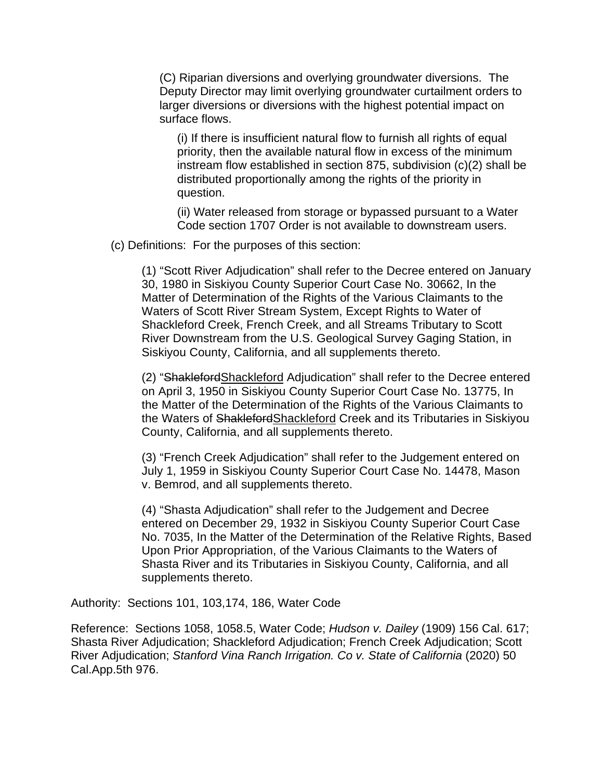(C) Riparian diversions and overlying groundwater diversions. The Deputy Director may limit overlying groundwater curtailment orders to larger diversions or diversions with the highest potential impact on surface flows.

(i) If there is insufficient natural flow to furnish all rights of equal priority, then the available natural flow in excess of the minimum instream flow established in section 875, subdivision (c)(2) shall be distributed proportionally among the rights of the priority in question.

(ii) Water released from storage or bypassed pursuant to a Water Code section 1707 Order is not available to downstream users.

(c) Definitions: For the purposes of this section:

(1) "Scott River Adjudication" shall refer to the Decree entered on January 30, 1980 in Siskiyou County Superior Court Case No. 30662, In the Matter of Determination of the Rights of the Various Claimants to the Waters of Scott River Stream System, Except Rights to Water of Shackleford Creek, French Creek, and all Streams Tributary to Scott River Downstream from the U.S. Geological Survey Gaging Station, in Siskiyou County, California, and all supplements thereto.

(2) "ShaklefordShackleford Adjudication" shall refer to the Decree entered on April 3, 1950 in Siskiyou County Superior Court Case No. 13775, In the Matter of the Determination of the Rights of the Various Claimants to the Waters of ShaklefordShackleford Creek and its Tributaries in Siskiyou County, California, and all supplements thereto.

(3) "French Creek Adjudication" shall refer to the Judgement entered on July 1, 1959 in Siskiyou County Superior Court Case No. 14478, Mason v. Bemrod, and all supplements thereto.

(4) "Shasta Adjudication" shall refer to the Judgement and Decree entered on December 29, 1932 in Siskiyou County Superior Court Case No. 7035, In the Matter of the Determination of the Relative Rights, Based Upon Prior Appropriation, of the Various Claimants to the Waters of Shasta River and its Tributaries in Siskiyou County, California, and all supplements thereto.

Authority: Sections 101, 103,174, 186, Water Code

Reference: Sections 1058, 1058.5, Water Code; *Hudson v. Dailey* (1909) 156 Cal. 617; Shasta River Adjudication; Shackleford Adjudication; French Creek Adjudication; Scott River Adjudication; *Stanford Vina Ranch Irrigation. Co v. State of California* (2020) 50 Cal.App.5th 976.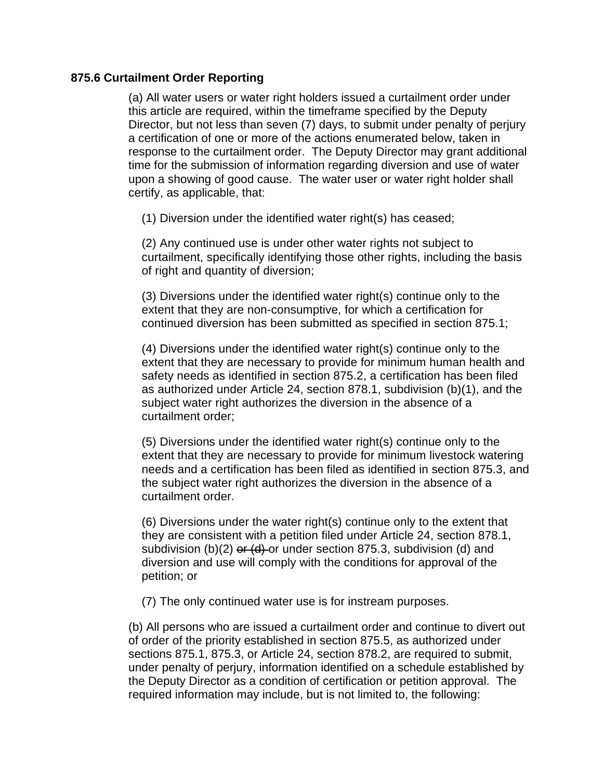#### **875.6 Curtailment Order Reporting**

(a) All water users or water right holders issued a curtailment order under this article are required, within the timeframe specified by the Deputy Director, but not less than seven (7) days, to submit under penalty of perjury a certification of one or more of the actions enumerated below, taken in response to the curtailment order. The Deputy Director may grant additional time for the submission of information regarding diversion and use of water upon a showing of good cause. The water user or water right holder shall certify, as applicable, that:

(1) Diversion under the identified water right(s) has ceased;

(2) Any continued use is under other water rights not subject to curtailment, specifically identifying those other rights, including the basis of right and quantity of diversion;

(3) Diversions under the identified water right(s) continue only to the extent that they are non-consumptive, for which a certification for continued diversion has been submitted as specified in section 875.1;

(4) Diversions under the identified water right(s) continue only to the extent that they are necessary to provide for minimum human health and safety needs as identified in section 875.2, a certification has been filed as authorized under Article 24, section 878.1, subdivision (b)(1), and the subject water right authorizes the diversion in the absence of a curtailment order;

(5) Diversions under the identified water right(s) continue only to the extent that they are necessary to provide for minimum livestock watering needs and a certification has been filed as identified in section 875.3, and the subject water right authorizes the diversion in the absence of a curtailment order.

(6) Diversions under the water right(s) continue only to the extent that they are consistent with a petition filed under Article 24, section 878.1, subdivision (b)(2)  $er$  (d) or under section 875.3, subdivision (d) and diversion and use will comply with the conditions for approval of the petition; or

(7) The only continued water use is for instream purposes.

(b) All persons who are issued a curtailment order and continue to divert out of order of the priority established in section 875.5, as authorized under sections 875.1, 875.3, or Article 24, section 878.2, are required to submit, under penalty of perjury, information identified on a schedule established by the Deputy Director as a condition of certification or petition approval. The required information may include, but is not limited to, the following: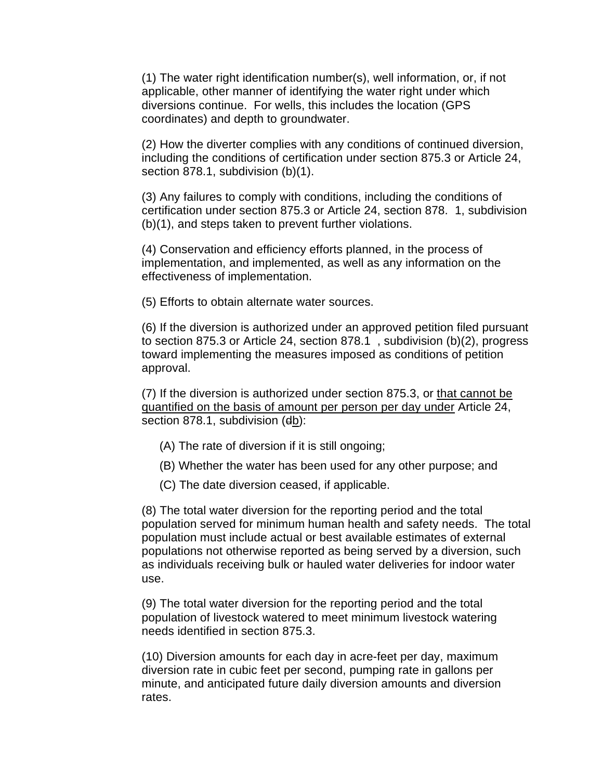(1) The water right identification number(s), well information, or, if not applicable, other manner of identifying the water right under which diversions continue. For wells, this includes the location (GPS coordinates) and depth to groundwater.

(2) How the diverter complies with any conditions of continued diversion, including the conditions of certification under section 875.3 or Article 24, section 878.1, subdivision (b)(1).

(3) Any failures to comply with conditions, including the conditions of certification under section 875.3 or Article 24, section 878. 1, subdivision (b)(1), and steps taken to prevent further violations.

(4) Conservation and efficiency efforts planned, in the process of implementation, and implemented, as well as any information on the effectiveness of implementation.

(5) Efforts to obtain alternate water sources.

(6) If the diversion is authorized under an approved petition filed pursuant to section 875.3 or Article 24, section 878.1 , subdivision (b)(2), progress toward implementing the measures imposed as conditions of petition approval.

(7) If the diversion is authorized under section 875.3, or that cannot be quantified on the basis of amount per person per day under Article 24, section 878.1, subdivision (db):

- (A) The rate of diversion if it is still ongoing;
- (B) Whether the water has been used for any other purpose; and
- (C) The date diversion ceased, if applicable.

(8) The total water diversion for the reporting period and the total population served for minimum human health and safety needs. The total population must include actual or best available estimates of external populations not otherwise reported as being served by a diversion, such as individuals receiving bulk or hauled water deliveries for indoor water use.

(9) The total water diversion for the reporting period and the total population of livestock watered to meet minimum livestock watering needs identified in section 875.3.

(10) Diversion amounts for each day in acre-feet per day, maximum diversion rate in cubic feet per second, pumping rate in gallons per minute, and anticipated future daily diversion amounts and diversion rates.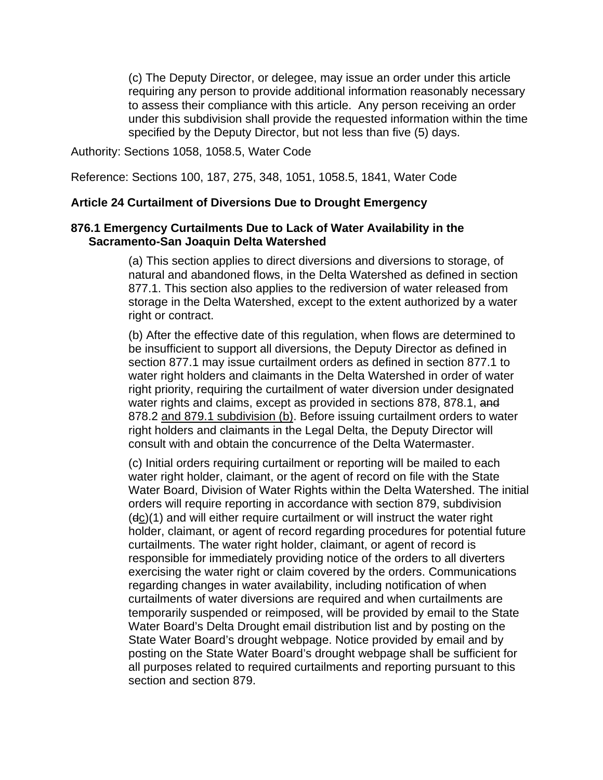(c) The Deputy Director, or delegee, may issue an order under this article requiring any person to provide additional information reasonably necessary to assess their compliance with this article. Any person receiving an order under this subdivision shall provide the requested information within the time specified by the Deputy Director, but not less than five (5) days.

Authority: Sections 1058, 1058.5, Water Code

Reference: Sections 100, 187, 275, 348, 1051, 1058.5, 1841, Water Code

#### **Article 24 Curtailment of Diversions Due to Drought Emergency**

#### **876.1 Emergency Curtailments Due to Lack of Water Availability in the Sacramento-San Joaquin Delta Watershed**

(a) This section applies to direct diversions and diversions to storage, of natural and abandoned flows, in the Delta Watershed as defined in section 877.1. This section also applies to the rediversion of water released from storage in the Delta Watershed, except to the extent authorized by a water right or contract.

(b) After the effective date of this regulation, when flows are determined to be insufficient to support all diversions, the Deputy Director as defined in section 877.1 may issue curtailment orders as defined in section 877.1 to water right holders and claimants in the Delta Watershed in order of water right priority, requiring the curtailment of water diversion under designated water rights and claims, except as provided in sections 878, 878.1, and 878.2 and 879.1 subdivision (b). Before issuing curtailment orders to water right holders and claimants in the Legal Delta, the Deputy Director will consult with and obtain the concurrence of the Delta Watermaster.

(c) Initial orders requiring curtailment or reporting will be mailed to each water right holder, claimant, or the agent of record on file with the State Water Board, Division of Water Rights within the Delta Watershed. The initial orders will require reporting in accordance with section 879, subdivision (dc)(1) and will either require curtailment or will instruct the water right holder, claimant, or agent of record regarding procedures for potential future curtailments. The water right holder, claimant, or agent of record is responsible for immediately providing notice of the orders to all diverters exercising the water right or claim covered by the orders. Communications regarding changes in water availability, including notification of when curtailments of water diversions are required and when curtailments are temporarily suspended or reimposed, will be provided by email to the State Water Board's Delta Drought email distribution list and by posting on the State Water Board's drought webpage. Notice provided by email and by posting on the State Water Board's drought webpage shall be sufficient for all purposes related to required curtailments and reporting pursuant to this section and section 879.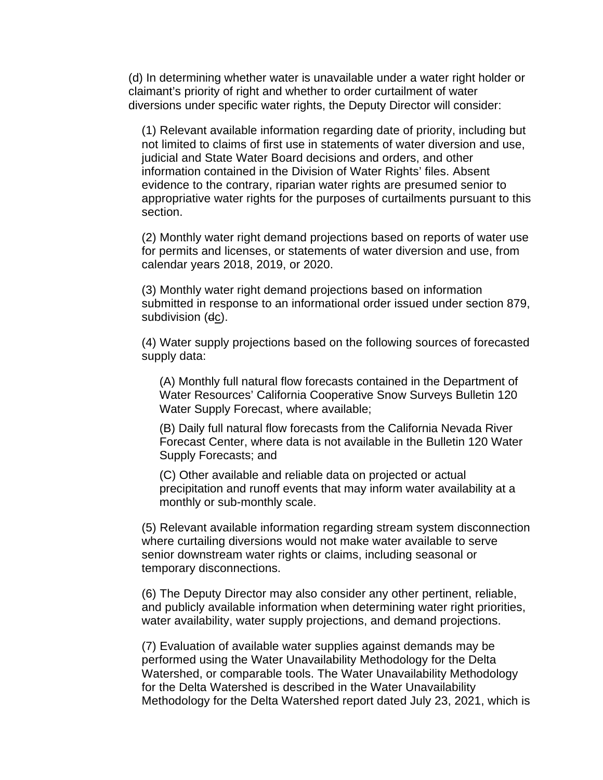(d) In determining whether water is unavailable under a water right holder or claimant's priority of right and whether to order curtailment of water diversions under specific water rights, the Deputy Director will consider:

(1) Relevant available information regarding date of priority, including but not limited to claims of first use in statements of water diversion and use, judicial and State Water Board decisions and orders, and other information contained in the Division of Water Rights' files. Absent evidence to the contrary, riparian water rights are presumed senior to appropriative water rights for the purposes of curtailments pursuant to this section.

(2) Monthly water right demand projections based on reports of water use for permits and licenses, or statements of water diversion and use, from calendar years 2018, 2019, or 2020.

(3) Monthly water right demand projections based on information submitted in response to an informational order issued under section 879, subdivision (dc).

(4) Water supply projections based on the following sources of forecasted supply data:

(A) Monthly full natural flow forecasts contained in the Department of Water Resources' California Cooperative Snow Surveys Bulletin 120 Water Supply Forecast, where available;

(B) Daily full natural flow forecasts from the California Nevada River Forecast Center, where data is not available in the Bulletin 120 Water Supply Forecasts; and

(C) Other available and reliable data on projected or actual precipitation and runoff events that may inform water availability at a monthly or sub-monthly scale.

(5) Relevant available information regarding stream system disconnection where curtailing diversions would not make water available to serve senior downstream water rights or claims, including seasonal or temporary disconnections.

(6) The Deputy Director may also consider any other pertinent, reliable, and publicly available information when determining water right priorities, water availability, water supply projections, and demand projections.

(7) Evaluation of available water supplies against demands may be performed using the Water Unavailability Methodology for the Delta Watershed, or comparable tools. The Water Unavailability Methodology for the Delta Watershed is described in the Water Unavailability Methodology for the Delta Watershed report dated July 23, 2021, which is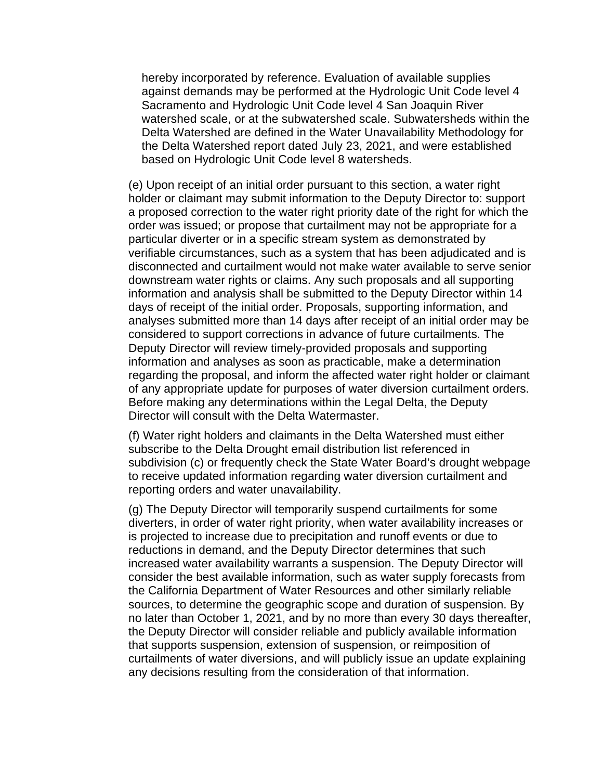hereby incorporated by reference. Evaluation of available supplies against demands may be performed at the Hydrologic Unit Code level 4 Sacramento and Hydrologic Unit Code level 4 San Joaquin River watershed scale, or at the subwatershed scale. Subwatersheds within the Delta Watershed are defined in the Water Unavailability Methodology for the Delta Watershed report dated July 23, 2021, and were established based on Hydrologic Unit Code level 8 watersheds.

(e) Upon receipt of an initial order pursuant to this section, a water right holder or claimant may submit information to the Deputy Director to: support a proposed correction to the water right priority date of the right for which the order was issued; or propose that curtailment may not be appropriate for a particular diverter or in a specific stream system as demonstrated by verifiable circumstances, such as a system that has been adjudicated and is disconnected and curtailment would not make water available to serve senior downstream water rights or claims. Any such proposals and all supporting information and analysis shall be submitted to the Deputy Director within 14 days of receipt of the initial order. Proposals, supporting information, and analyses submitted more than 14 days after receipt of an initial order may be considered to support corrections in advance of future curtailments. The Deputy Director will review timely-provided proposals and supporting information and analyses as soon as practicable, make a determination regarding the proposal, and inform the affected water right holder or claimant of any appropriate update for purposes of water diversion curtailment orders. Before making any determinations within the Legal Delta, the Deputy Director will consult with the Delta Watermaster.

(f) Water right holders and claimants in the Delta Watershed must either subscribe to the Delta Drought email distribution list referenced in subdivision (c) or frequently check the State Water Board's drought webpage to receive updated information regarding water diversion curtailment and reporting orders and water unavailability.

(g) The Deputy Director will temporarily suspend curtailments for some diverters, in order of water right priority, when water availability increases or is projected to increase due to precipitation and runoff events or due to reductions in demand, and the Deputy Director determines that such increased water availability warrants a suspension. The Deputy Director will consider the best available information, such as water supply forecasts from the California Department of Water Resources and other similarly reliable sources, to determine the geographic scope and duration of suspension. By no later than October 1, 2021, and by no more than every 30 days thereafter, the Deputy Director will consider reliable and publicly available information that supports suspension, extension of suspension, or reimposition of curtailments of water diversions, and will publicly issue an update explaining any decisions resulting from the consideration of that information.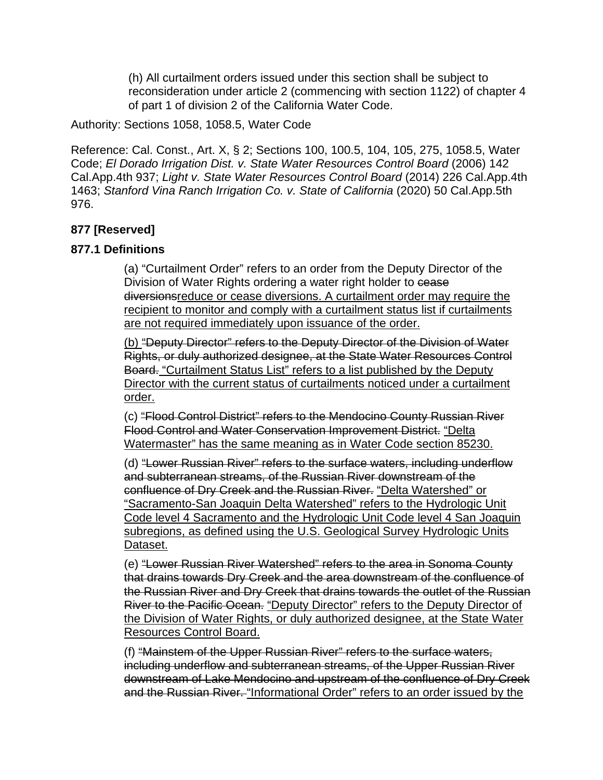(h) All curtailment orders issued under this section shall be subject to reconsideration under article 2 (commencing with section 1122) of chapter 4 of part 1 of division 2 of the California Water Code.

Authority: Sections 1058, 1058.5, Water Code

Reference: Cal. Const., Art. X, § 2; Sections 100, 100.5, 104, 105, 275, 1058.5, Water Code; *El Dorado Irrigation Dist. v. State Water Resources Control Board* (2006) 142 Cal.App.4th 937; *Light v. State Water Resources Control Board* (2014) 226 Cal.App.4th 1463; *Stanford Vina Ranch Irrigation Co. v. State of California* (2020) 50 Cal.App.5th 976.

#### **877 [Reserved]**

#### **877.1 Definitions**

(a) "Curtailment Order" refers to an order from the Deputy Director of the Division of Water Rights ordering a water right holder to cease diversionsreduce or cease diversions. A curtailment order may require the recipient to monitor and comply with a curtailment status list if curtailments are not required immediately upon issuance of the order.

(b) "Deputy Director" refers to the Deputy Director of the Division of Water Rights, or duly authorized designee, at the State Water Resources Control Board. "Curtailment Status List" refers to a list published by the Deputy Director with the current status of curtailments noticed under a curtailment order.

(c) "Flood Control District" refers to the Mendocino County Russian River Flood Control and Water Conservation Improvement District. "Delta Watermaster" has the same meaning as in Water Code section 85230.

(d) "Lower Russian River" refers to the surface waters, including underflow and subterranean streams, of the Russian River downstream of the confluence of Dry Creek and the Russian River. "Delta Watershed" or "Sacramento-San Joaquin Delta Watershed" refers to the Hydrologic Unit Code level 4 Sacramento and the Hydrologic Unit Code level 4 San Joaquin subregions, as defined using the U.S. Geological Survey Hydrologic Units Dataset.

(e) "Lower Russian River Watershed" refers to the area in Sonoma County that drains towards Dry Creek and the area downstream of the confluence of the Russian River and Dry Creek that drains towards the outlet of the Russian River to the Pacific Ocean. "Deputy Director" refers to the Deputy Director of the Division of Water Rights, or duly authorized designee, at the State Water Resources Control Board.

(f) "Mainstem of the Upper Russian River" refers to the surface waters, including underflow and subterranean streams, of the Upper Russian River downstream of Lake Mendocino and upstream of the confluence of Dry Creek and the Russian River. "Informational Order" refers to an order issued by the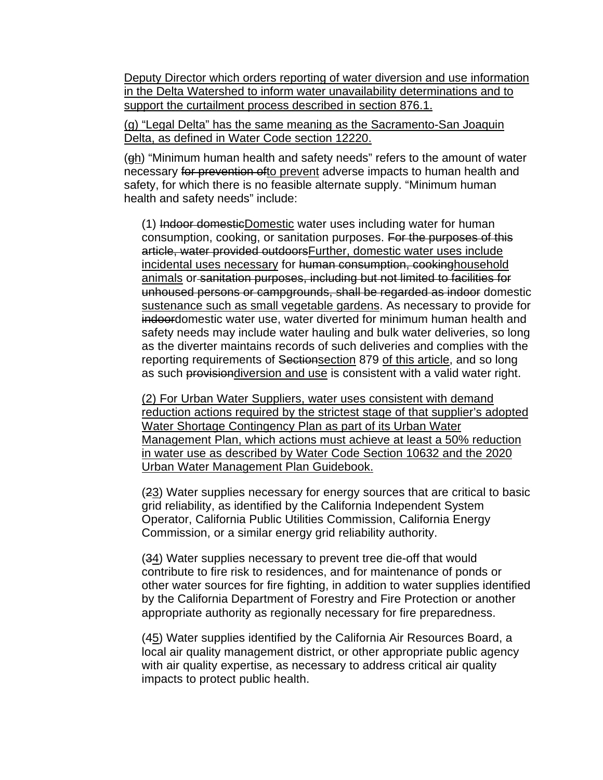Deputy Director which orders reporting of water diversion and use information in the Delta Watershed to inform water unavailability determinations and to support the curtailment process described in section 876.1.

(g) "Legal Delta" has the same meaning as the Sacramento-San Joaquin Delta, as defined in Water Code section 12220.

(gh) "Minimum human health and safety needs" refers to the amount of water necessary for prevention ofto prevent adverse impacts to human health and safety, for which there is no feasible alternate supply. "Minimum human health and safety needs" include:

(1) Indoor domesticDomestic water uses including water for human consumption, cooking, or sanitation purposes. For the purposes of this article, water provided outdoorsFurther, domestic water uses include incidental uses necessary for human consumption, cookinghousehold animals or sanitation purposes, including but not limited to facilities for unhoused persons or campgrounds, shall be regarded as indoor domestic sustenance such as small vegetable gardens. As necessary to provide for indoordomestic water use, water diverted for minimum human health and safety needs may include water hauling and bulk water deliveries, so long as the diverter maintains records of such deliveries and complies with the reporting requirements of Sectionsection 879 of this article, and so long as such provisiondiversion and use is consistent with a valid water right.

(2) For Urban Water Suppliers, water uses consistent with demand reduction actions required by the strictest stage of that supplier's adopted Water Shortage Contingency Plan as part of its Urban Water Management Plan, which actions must achieve at least a 50% reduction in water use as described by Water Code Section 10632 and the 2020 Urban Water Management Plan Guidebook.

(23) Water supplies necessary for energy sources that are critical to basic grid reliability, as identified by the California Independent System Operator, California Public Utilities Commission, California Energy Commission, or a similar energy grid reliability authority.

(34) Water supplies necessary to prevent tree die-off that would contribute to fire risk to residences, and for maintenance of ponds or other water sources for fire fighting, in addition to water supplies identified by the California Department of Forestry and Fire Protection or another appropriate authority as regionally necessary for fire preparedness.

(45) Water supplies identified by the California Air Resources Board, a local air quality management district, or other appropriate public agency with air quality expertise, as necessary to address critical air quality impacts to protect public health.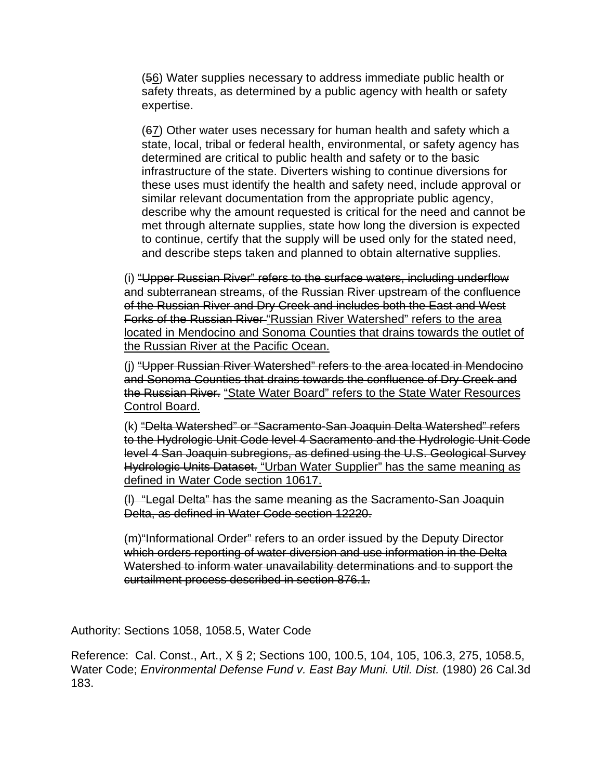(56) Water supplies necessary to address immediate public health or safety threats, as determined by a public agency with health or safety expertise.

(67) Other water uses necessary for human health and safety which a state, local, tribal or federal health, environmental, or safety agency has determined are critical to public health and safety or to the basic infrastructure of the state. Diverters wishing to continue diversions for these uses must identify the health and safety need, include approval or similar relevant documentation from the appropriate public agency, describe why the amount requested is critical for the need and cannot be met through alternate supplies, state how long the diversion is expected to continue, certify that the supply will be used only for the stated need, and describe steps taken and planned to obtain alternative supplies.

(i) "Upper Russian River" refers to the surface waters, including underflow and subterranean streams, of the Russian River upstream of the confluence of the Russian River and Dry Creek and includes both the East and West Forks of the Russian River "Russian River Watershed" refers to the area located in Mendocino and Sonoma Counties that drains towards the outlet of the Russian River at the Pacific Ocean.

(j) "Upper Russian River Watershed" refers to the area located in Mendocino and Sonoma Counties that drains towards the confluence of Dry Creek and the Russian River. "State Water Board" refers to the State Water Resources Control Board.

(k) "Delta Watershed" or "Sacramento-San Joaquin Delta Watershed" refers to the Hydrologic Unit Code level 4 Sacramento and the Hydrologic Unit Code level 4 San Joaquin subregions, as defined using the U.S. Geological Survey Hydrologic Units Dataset. "Urban Water Supplier" has the same meaning as defined in Water Code section 10617.

(l) "Legal Delta" has the same meaning as the Sacramento-San Joaquin Delta, as defined in Water Code section 12220.

(m)"Informational Order" refers to an order issued by the Deputy Director which orders reporting of water diversion and use information in the Delta Watershed to inform water unavailability determinations and to support the curtailment process described in section 876.1.

Authority: Sections 1058, 1058.5, Water Code

Reference: Cal. Const., Art., X § 2; Sections 100, 100.5, 104, 105, 106.3, 275, 1058.5, Water Code; *Environmental Defense Fund v. East Bay Muni. Util. Dist.* (1980) 26 Cal.3d 183.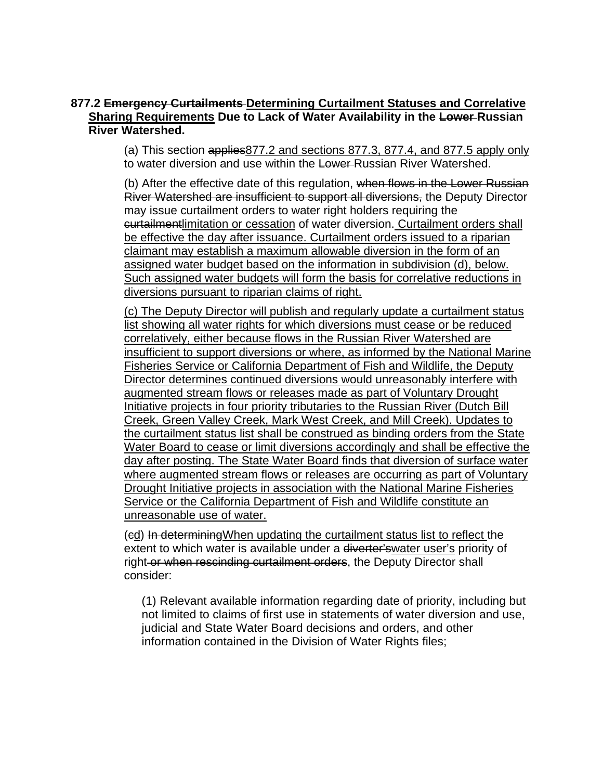#### **877.2 Emergency Curtailments Determining Curtailment Statuses and Correlative Sharing Requirements Due to Lack of Water Availability in the Lower Russian River Watershed.**

(a) This section applies877.2 and sections 877.3, 877.4, and 877.5 apply only to water diversion and use within the Lower-Russian River Watershed.

(b) After the effective date of this regulation, when flows in the Lower Russian River Watershed are insufficient to support all diversions, the Deputy Director may issue curtailment orders to water right holders requiring the curtailmentlimitation or cessation of water diversion. Curtailment orders shall be effective the day after issuance. Curtailment orders issued to a riparian claimant may establish a maximum allowable diversion in the form of an assigned water budget based on the information in subdivision (d), below. Such assigned water budgets will form the basis for correlative reductions in diversions pursuant to riparian claims of right.

(c) The Deputy Director will publish and regularly update a curtailment status list showing all water rights for which diversions must cease or be reduced correlatively, either because flows in the Russian River Watershed are insufficient to support diversions or where, as informed by the National Marine Fisheries Service or California Department of Fish and Wildlife, the Deputy Director determines continued diversions would unreasonably interfere with augmented stream flows or releases made as part of Voluntary Drought Initiative projects in four priority tributaries to the Russian River (Dutch Bill Creek, Green Valley Creek, Mark West Creek, and Mill Creek). Updates to the curtailment status list shall be construed as binding orders from the State Water Board to cease or limit diversions accordingly and shall be effective the day after posting. The State Water Board finds that diversion of surface water where augmented stream flows or releases are occurring as part of Voluntary Drought Initiative projects in association with the National Marine Fisheries Service or the California Department of Fish and Wildlife constitute an unreasonable use of water.

(cd) In determiningWhen updating the curtailment status list to reflect the extent to which water is available under a diverter's water user's priority of right or when rescinding curtailment orders, the Deputy Director shall consider:

(1) Relevant available information regarding date of priority, including but not limited to claims of first use in statements of water diversion and use, judicial and State Water Board decisions and orders, and other information contained in the Division of Water Rights files;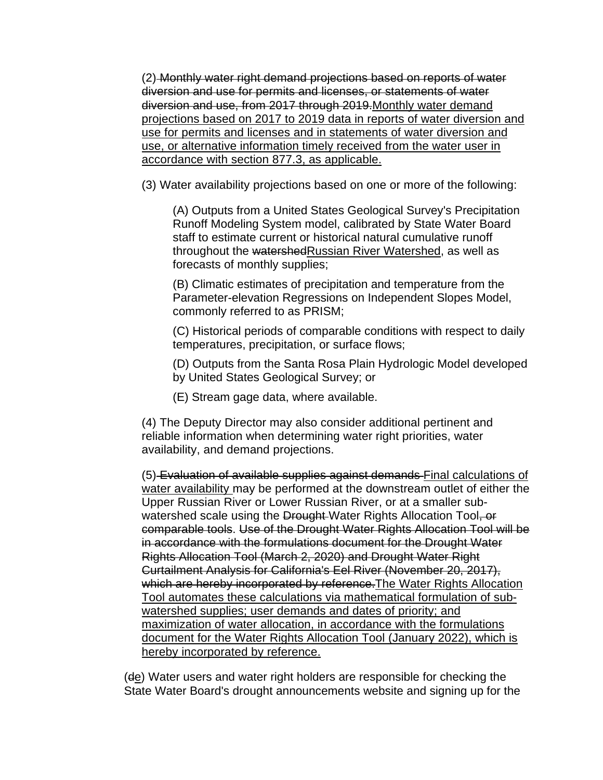(2) Monthly water right demand projections based on reports of water diversion and use for permits and licenses, or statements of water diversion and use, from 2017 through 2019.Monthly water demand projections based on 2017 to 2019 data in reports of water diversion and use for permits and licenses and in statements of water diversion and use, or alternative information timely received from the water user in accordance with section 877.3, as applicable.

(3) Water availability projections based on one or more of the following:

(A) Outputs from a United States Geological Survey's Precipitation Runoff Modeling System model, calibrated by State Water Board staff to estimate current or historical natural cumulative runoff throughout the watershedRussian River Watershed, as well as forecasts of monthly supplies;

(B) Climatic estimates of precipitation and temperature from the Parameter-elevation Regressions on Independent Slopes Model, commonly referred to as PRISM;

(C) Historical periods of comparable conditions with respect to daily temperatures, precipitation, or surface flows;

(D) Outputs from the Santa Rosa Plain Hydrologic Model developed by United States Geological Survey; or

(E) Stream gage data, where available.

(4) The Deputy Director may also consider additional pertinent and reliable information when determining water right priorities, water availability, and demand projections.

(5) Evaluation of available supplies against demands Final calculations of water availability may be performed at the downstream outlet of either the Upper Russian River or Lower Russian River, or at a smaller subwatershed scale using the Drought-Water Rights Allocation Tool, or comparable tools. Use of the Drought Water Rights Allocation Tool will be in accordance with the formulations document for the Drought Water Rights Allocation Tool (March 2, 2020) and Drought Water Right Curtailment Analysis for California's Eel River (November 20, 2017), which are hereby incorporated by reference. The Water Rights Allocation Tool automates these calculations via mathematical formulation of subwatershed supplies; user demands and dates of priority; and maximization of water allocation, in accordance with the formulations document for the Water Rights Allocation Tool (January 2022), which is hereby incorporated by reference.

(de) Water users and water right holders are responsible for checking the State Water Board's drought announcements website and signing up for the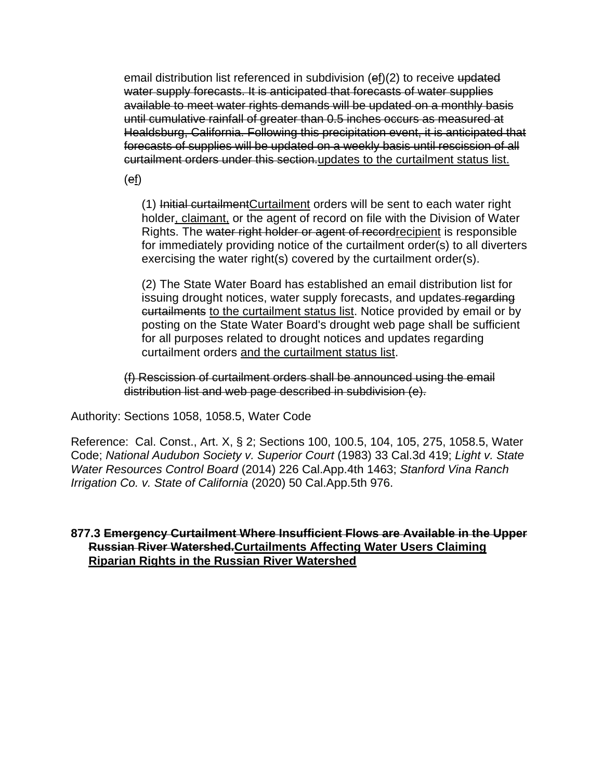email distribution list referenced in subdivision (ef)(2) to receive updated water supply forecasts. It is anticipated that forecasts of water supplies available to meet water rights demands will be updated on a monthly basis until cumulative rainfall of greater than 0.5 inches occurs as measured at Healdsburg, California. Following this precipitation event, it is anticipated that forecasts of supplies will be updated on a weekly basis until rescission of all curtailment orders under this section.updates to the curtailment status list.

(ef)

(1) Initial curtailmentCurtailment orders will be sent to each water right holder, claimant, or the agent of record on file with the Division of Water Rights. The water right holder or agent of recordrecipient is responsible for immediately providing notice of the curtailment order(s) to all diverters exercising the water right(s) covered by the curtailment order(s).

(2) The State Water Board has established an email distribution list for issuing drought notices, water supply forecasts, and updates-regarding curtailments to the curtailment status list. Notice provided by email or by posting on the State Water Board's drought web page shall be sufficient for all purposes related to drought notices and updates regarding curtailment orders and the curtailment status list.

(f) Rescission of curtailment orders shall be announced using the email distribution list and web page described in subdivision (e).

Authority: Sections 1058, 1058.5, Water Code

Reference: Cal. Const., Art. X, § 2; Sections 100, 100.5, 104, 105, 275, 1058.5, Water Code; *National Audubon Society v. Superior Court* (1983) 33 Cal.3d 419; *Light v. State Water Resources Control Board* (2014) 226 Cal.App.4th 1463; *Stanford Vina Ranch Irrigation Co. v. State of California* (2020) 50 Cal.App.5th 976.

#### **877.3 Emergency Curtailment Where Insufficient Flows are Available in the Upper Russian River Watershed.Curtailments Affecting Water Users Claiming Riparian Rights in the Russian River Watershed**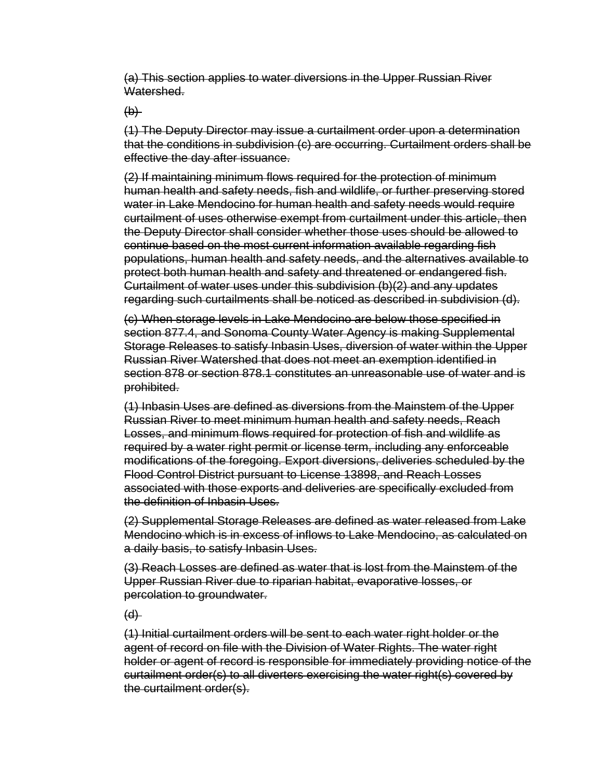(a) This section applies to water diversions in the Upper Russian River Watershed.

 $\bigoplus$ 

(1) The Deputy Director may issue a curtailment order upon a determination that the conditions in subdivision (c) are occurring. Curtailment orders shall be effective the day after issuance.

(2) If maintaining minimum flows required for the protection of minimum human health and safety needs, fish and wildlife, or further preserving stored water in Lake Mendocino for human health and safety needs would require curtailment of uses otherwise exempt from curtailment under this article, then the Deputy Director shall consider whether those uses should be allowed to continue based on the most current information available regarding fish populations, human health and safety needs, and the alternatives available to protect both human health and safety and threatened or endangered fish. Curtailment of water uses under this subdivision (b)(2) and any updates regarding such curtailments shall be noticed as described in subdivision (d).

(c) When storage levels in Lake Mendocino are below those specified in section 877.4, and Sonoma County Water Agency is making Supplemental Storage Releases to satisfy Inbasin Uses, diversion of water within the Upper Russian River Watershed that does not meet an exemption identified in section 878 or section 878.1 constitutes an unreasonable use of water and is prohibited.

(1) Inbasin Uses are defined as diversions from the Mainstem of the Upper Russian River to meet minimum human health and safety needs, Reach Losses, and minimum flows required for protection of fish and wildlife as required by a water right permit or license term, including any enforceable modifications of the foregoing. Export diversions, deliveries scheduled by the Flood Control District pursuant to License 13898, and Reach Losses associated with those exports and deliveries are specifically excluded from the definition of Inbasin Uses.

(2) Supplemental Storage Releases are defined as water released from Lake Mendocino which is in excess of inflows to Lake Mendocino, as calculated on a daily basis, to satisfy Inbasin Uses.

(3) Reach Losses are defined as water that is lost from the Mainstem of the Upper Russian River due to riparian habitat, evaporative losses, or percolation to groundwater.

 $(d)$ 

(1) Initial curtailment orders will be sent to each water right holder or the agent of record on file with the Division of Water Rights. The water right holder or agent of record is responsible for immediately providing notice of the curtailment order(s) to all diverters exercising the water right(s) covered by the curtailment order(s).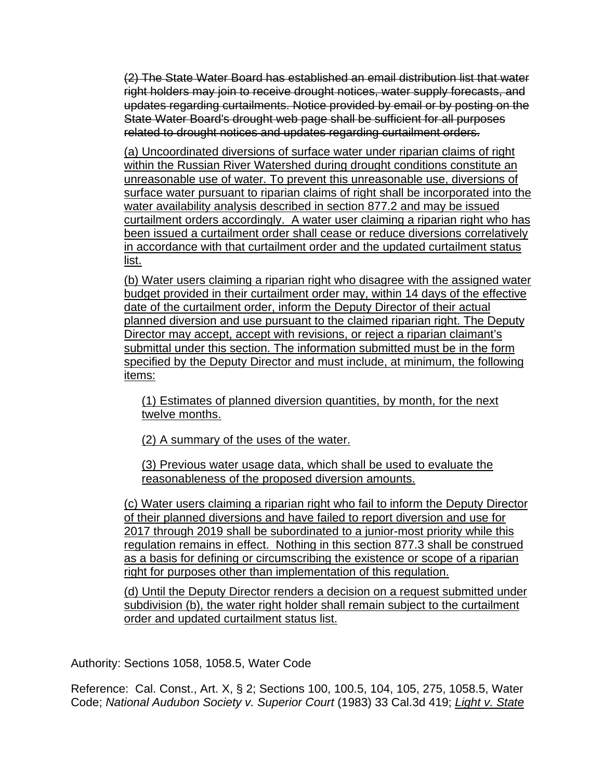(2) The State Water Board has established an email distribution list that water right holders may join to receive drought notices, water supply forecasts, and updates regarding curtailments. Notice provided by email or by posting on the State Water Board's drought web page shall be sufficient for all purposes related to drought notices and updates regarding curtailment orders.

(a) Uncoordinated diversions of surface water under riparian claims of right within the Russian River Watershed during drought conditions constitute an unreasonable use of water. To prevent this unreasonable use, diversions of surface water pursuant to riparian claims of right shall be incorporated into the water availability analysis described in section 877.2 and may be issued curtailment orders accordingly. A water user claiming a riparian right who has been issued a curtailment order shall cease or reduce diversions correlatively in accordance with that curtailment order and the updated curtailment status list.

(b) Water users claiming a riparian right who disagree with the assigned water budget provided in their curtailment order may, within 14 days of the effective date of the curtailment order, inform the Deputy Director of their actual planned diversion and use pursuant to the claimed riparian right. The Deputy Director may accept, accept with revisions, or reject a riparian claimant's submittal under this section. The information submitted must be in the form specified by the Deputy Director and must include, at minimum, the following items:

(1) Estimates of planned diversion quantities, by month, for the next twelve months.

(2) A summary of the uses of the water.

(3) Previous water usage data, which shall be used to evaluate the reasonableness of the proposed diversion amounts.

(c) Water users claiming a riparian right who fail to inform the Deputy Director of their planned diversions and have failed to report diversion and use for 2017 through 2019 shall be subordinated to a junior-most priority while this regulation remains in effect. Nothing in this section 877.3 shall be construed as a basis for defining or circumscribing the existence or scope of a riparian right for purposes other than implementation of this regulation.

(d) Until the Deputy Director renders a decision on a request submitted under subdivision (b), the water right holder shall remain subject to the curtailment order and updated curtailment status list.

Authority: Sections 1058, 1058.5, Water Code

Reference: Cal. Const., Art. X, § 2; Sections 100, 100.5, 104, 105, 275, 1058.5, Water Code; *National Audubon Society v. Superior Court* (1983) 33 Cal.3d 419; *Light v. State*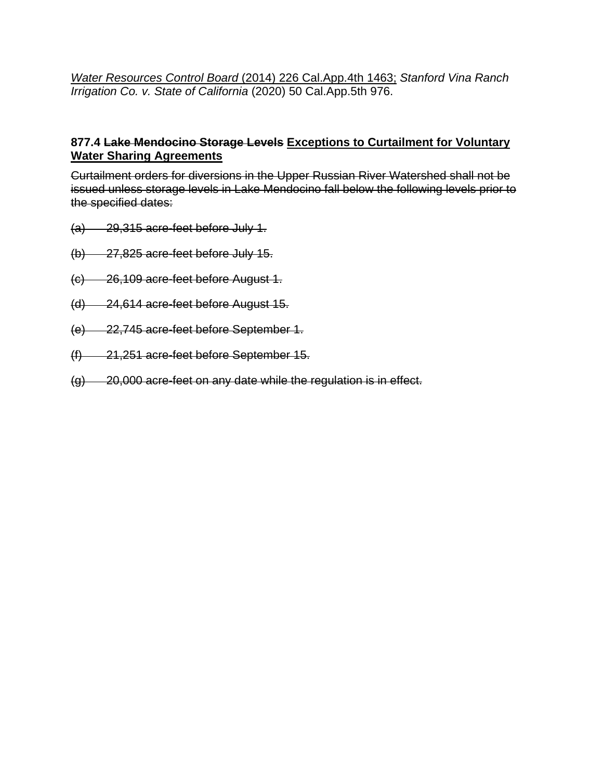*Water Resources Control Board* (2014) 226 Cal.App.4th 1463; *Stanford Vina Ranch Irrigation Co. v. State of California* (2020) 50 Cal.App.5th 976.

#### **877.4 Lake Mendocino Storage Levels Exceptions to Curtailment for Voluntary Water Sharing Agreements**

Curtailment orders for diversions in the Upper Russian River Watershed shall not be issued unless storage levels in Lake Mendocino fall below the following levels prior to the specified dates:

- (a) 29,315 acre-feet before July 1.
- (b) 27,825 acre-feet before July 15.
- (c) 26,109 acre-feet before August 1.
- (d) 24,614 acre-feet before August 15.
- (e) 22,745 acre-feet before September 1.
- (f) 21,251 acre-feet before September 15.
- (g) 20,000 acre-feet on any date while the regulation is in effect.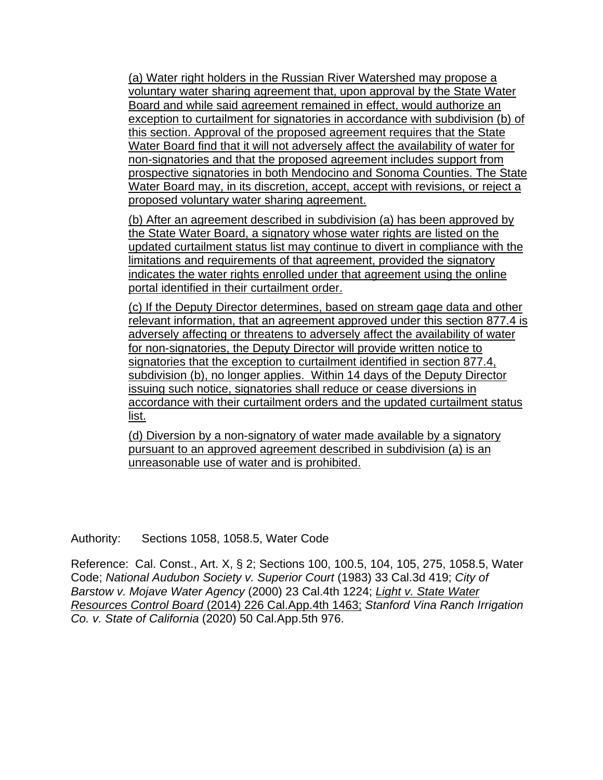(a) Water right holders in the Russian River Watershed may propose a voluntary water sharing agreement that, upon approval by the State Water Board and while said agreement remained in effect, would authorize an exception to curtailment for signatories in accordance with subdivision (b) of this section. Approval of the proposed agreement requires that the State Water Board find that it will not adversely affect the availability of water for non-signatories and that the proposed agreement includes support from prospective signatories in both Mendocino and Sonoma Counties. The State Water Board may, in its discretion, accept, accept with revisions, or reject a proposed voluntary water sharing agreement.

(b) After an agreement described in subdivision (a) has been approved by the State Water Board, a signatory whose water rights are listed on the updated curtailment status list may continue to divert in compliance with the limitations and requirements of that agreement, provided the signatory indicates the water rights enrolled under that agreement using the online portal identified in their curtailment order.

(c) If the Deputy Director determines, based on stream gage data and other relevant information, that an agreement approved under this section 877.4 is adversely affecting or threatens to adversely affect the availability of water for non-signatories, the Deputy Director will provide written notice to signatories that the exception to curtailment identified in section 877.4, subdivision (b), no longer applies. Within 14 days of the Deputy Director issuing such notice, signatories shall reduce or cease diversions in accordance with their curtailment orders and the updated curtailment status list.

(d) Diversion by a non-signatory of water made available by a signatory pursuant to an approved agreement described in subdivision (a) is an unreasonable use of water and is prohibited.

Authority: Sections 1058, 1058.5, Water Code

Reference: Cal. Const., Art. X, § 2; Sections 100, 100.5, 104, 105, 275, 1058.5, Water Code; *National Audubon Society v. Superior Court* (1983) 33 Cal.3d 419; *City of Barstow v. Mojave Water Agency* (2000) 23 Cal.4th 1224; *Light v. State Water Resources Control Board* (2014) 226 Cal.App.4th 1463; *Stanford Vina Ranch Irrigation Co. v. State of California* (2020) 50 Cal.App.5th 976.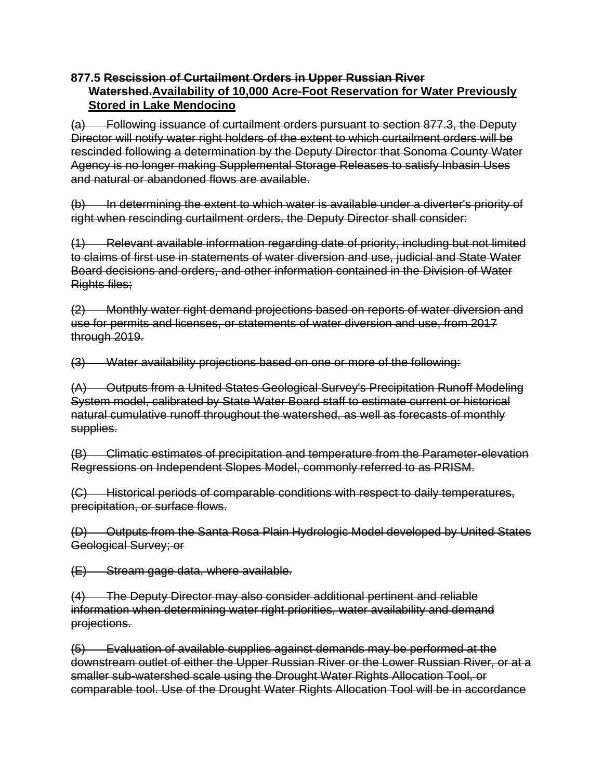#### **877.5 Rescission of Curtailment Orders in Upper Russian River Watershed.Availability of 10,000 Acre-Foot Reservation for Water Previously Stored in Lake Mendocino**

(a) Following issuance of curtailment orders pursuant to section 877.3, the Deputy Director will notify water right holders of the extent to which curtailment orders will be rescinded following a determination by the Deputy Director that Sonoma County Water Agency is no longer making Supplemental Storage Releases to satisfy Inbasin Uses and natural or abandoned flows are available.

(b) In determining the extent to which water is available under a diverter's priority of right when rescinding curtailment orders, the Deputy Director shall consider:

(1) Relevant available information regarding date of priority, including but not limited to claims of first use in statements of water diversion and use, judicial and State Water Board decisions and orders, and other information contained in the Division of Water Rights files;

(2) Monthly water right demand projections based on reports of water diversion and use for permits and licenses, or statements of water diversion and use, from 2017 through 2019.

(3) Water availability projections based on one or more of the following:

(A) Outputs from a United States Geological Survey's Precipitation Runoff Modeling System model, calibrated by State Water Board staff to estimate current or historical natural cumulative runoff throughout the watershed, as well as forecasts of monthly supplies.

(B) Climatic estimates of precipitation and temperature from the Parameter-elevation Regressions on Independent Slopes Model, commonly referred to as PRISM.

(C) Historical periods of comparable conditions with respect to daily temperatures, precipitation, or surface flows.

(D) Outputs from the Santa Rosa Plain Hydrologic Model developed by United States Geological Survey; or

(E) Stream gage data, where available.

(4) The Deputy Director may also consider additional pertinent and reliable information when determining water right priorities, water availability and demand projections.

(5) Evaluation of available supplies against demands may be performed at the downstream outlet of either the Upper Russian River or the Lower Russian River, or at a smaller sub-watershed scale using the Drought Water Rights Allocation Tool, or comparable tool. Use of the Drought Water Rights Allocation Tool will be in accordance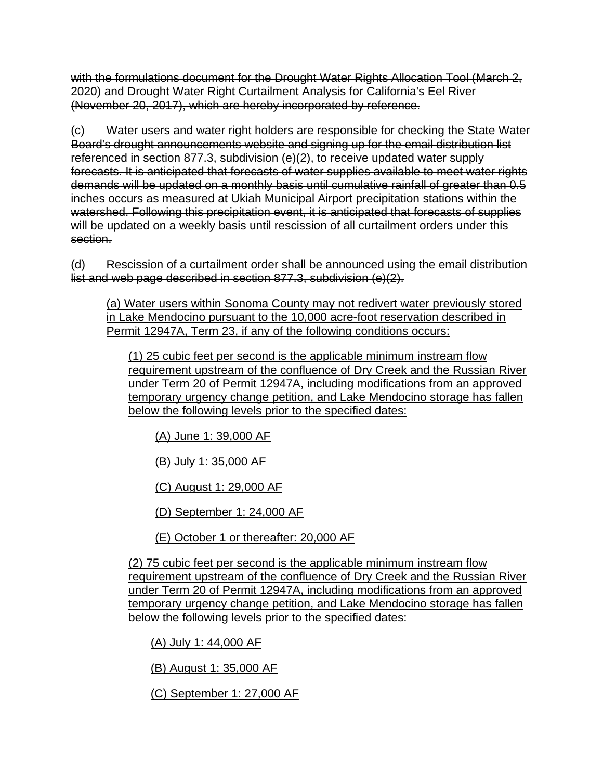with the formulations document for the Drought Water Rights Allocation Tool (March 2, 2020) and Drought Water Right Curtailment Analysis for California's Eel River (November 20, 2017), which are hereby incorporated by reference.

(c) Water users and water right holders are responsible for checking the State Water Board's drought announcements website and signing up for the email distribution list referenced in section 877.3, subdivision (e)(2), to receive updated water supply forecasts. It is anticipated that forecasts of water supplies available to meet water rights demands will be updated on a monthly basis until cumulative rainfall of greater than 0.5 inches occurs as measured at Ukiah Municipal Airport precipitation stations within the watershed. Following this precipitation event, it is anticipated that forecasts of supplies will be updated on a weekly basis until rescission of all curtailment orders under this section.

(d) Rescission of a curtailment order shall be announced using the email distribution list and web page described in section 877.3, subdivision (e)(2).

(a) Water users within Sonoma County may not redivert water previously stored in Lake Mendocino pursuant to the 10,000 acre-foot reservation described in Permit 12947A, Term 23, if any of the following conditions occurs:

(1) 25 cubic feet per second is the applicable minimum instream flow requirement upstream of the confluence of Dry Creek and the Russian River under Term 20 of Permit 12947A, including modifications from an approved temporary urgency change petition, and Lake Mendocino storage has fallen below the following levels prior to the specified dates:

(A) June 1: 39,000 AF

(B) July 1: 35,000 AF

(C) August 1: 29,000 AF

(D) September 1: 24,000 AF

(E) October 1 or thereafter: 20,000 AF

(2) 75 cubic feet per second is the applicable minimum instream flow requirement upstream of the confluence of Dry Creek and the Russian River under Term 20 of Permit 12947A, including modifications from an approved temporary urgency change petition, and Lake Mendocino storage has fallen below the following levels prior to the specified dates:

(A) July 1: 44,000 AF

(B) August 1: 35,000 AF

(C) September 1: 27,000 AF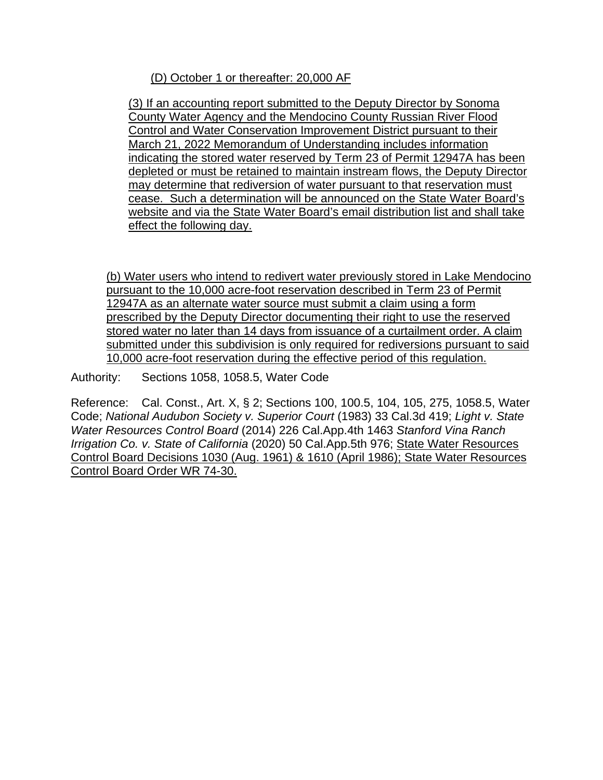(D) October 1 or thereafter: 20,000 AF

(3) If an accounting report submitted to the Deputy Director by Sonoma County Water Agency and the Mendocino County Russian River Flood Control and Water Conservation Improvement District pursuant to their March 21, 2022 Memorandum of Understanding includes information indicating the stored water reserved by Term 23 of Permit 12947A has been depleted or must be retained to maintain instream flows, the Deputy Director may determine that rediversion of water pursuant to that reservation must cease. Such a determination will be announced on the State Water Board's website and via the State Water Board's email distribution list and shall take effect the following day.

(b) Water users who intend to redivert water previously stored in Lake Mendocino pursuant to the 10,000 acre-foot reservation described in Term 23 of Permit 12947A as an alternate water source must submit a claim using a form prescribed by the Deputy Director documenting their right to use the reserved stored water no later than 14 days from issuance of a curtailment order. A claim submitted under this subdivision is only required for rediversions pursuant to said 10,000 acre-foot reservation during the effective period of this regulation.

Authority: Sections 1058, 1058.5, Water Code

Reference: Cal. Const., Art. X, § 2; Sections 100, 100.5, 104, 105, 275, 1058.5, Water Code; *National Audubon Society v. Superior Court* (1983) 33 Cal.3d 419; *Light v. State Water Resources Control Board* (2014) 226 Cal.App.4th 1463 *Stanford Vina Ranch Irrigation Co. v. State of California* (2020) 50 Cal.App.5th 976; State Water Resources Control Board Decisions 1030 (Aug. 1961) & 1610 (April 1986); State Water Resources Control Board Order WR 74-30.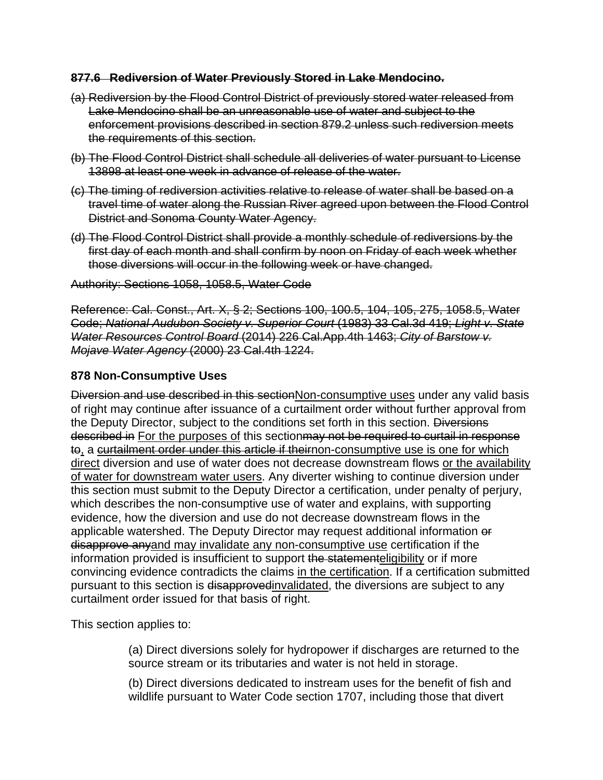#### **877.6 Rediversion of Water Previously Stored in Lake Mendocino.**

- (a) Rediversion by the Flood Control District of previously stored water released from Lake Mendocino shall be an unreasonable use of water and subject to the enforcement provisions described in section 879.2 unless such rediversion meets the requirements of this section.
- (b) The Flood Control District shall schedule all deliveries of water pursuant to License 13898 at least one week in advance of release of the water.
- (c) The timing of rediversion activities relative to release of water shall be based on a travel time of water along the Russian River agreed upon between the Flood Control District and Sonoma County Water Agency.
- (d) The Flood Control District shall provide a monthly schedule of rediversions by the first day of each month and shall confirm by noon on Friday of each week whether those diversions will occur in the following week or have changed.

Authority: Sections 1058, 1058.5, Water Code

Reference: Cal. Const., Art. X, § 2; Sections 100, 100.5, 104, 105, 275, 1058.5, Water Code; *National Audubon Society v. Superior Court* (1983) 33 Cal.3d 419; *Light v. State Water Resources Control Board* (2014) 226 Cal.App.4th 1463; *City of Barstow v. Mojave Water Agency* (2000) 23 Cal.4th 1224.

#### **878 Non-Consumptive Uses**

Diversion and use described in this section Non-consumptive uses under any valid basis of right may continue after issuance of a curtailment order without further approval from the Deputy Director, subject to the conditions set forth in this section. Diversions described in For the purposes of this section may not be required to curtail in response to, a curtailment order under this article if theirnon-consumptive use is one for which direct diversion and use of water does not decrease downstream flows or the availability of water for downstream water users. Any diverter wishing to continue diversion under this section must submit to the Deputy Director a certification, under penalty of perjury, which describes the non-consumptive use of water and explains, with supporting evidence, how the diversion and use do not decrease downstream flows in the applicable watershed. The Deputy Director may request additional information or disapprove anyand may invalidate any non-consumptive use certification if the information provided is insufficient to support the statementeligibility or if more convincing evidence contradicts the claims in the certification. If a certification submitted pursuant to this section is disapprovedinvalidated, the diversions are subject to any curtailment order issued for that basis of right.

This section applies to:

(a) Direct diversions solely for hydropower if discharges are returned to the source stream or its tributaries and water is not held in storage.

(b) Direct diversions dedicated to instream uses for the benefit of fish and wildlife pursuant to Water Code section 1707, including those that divert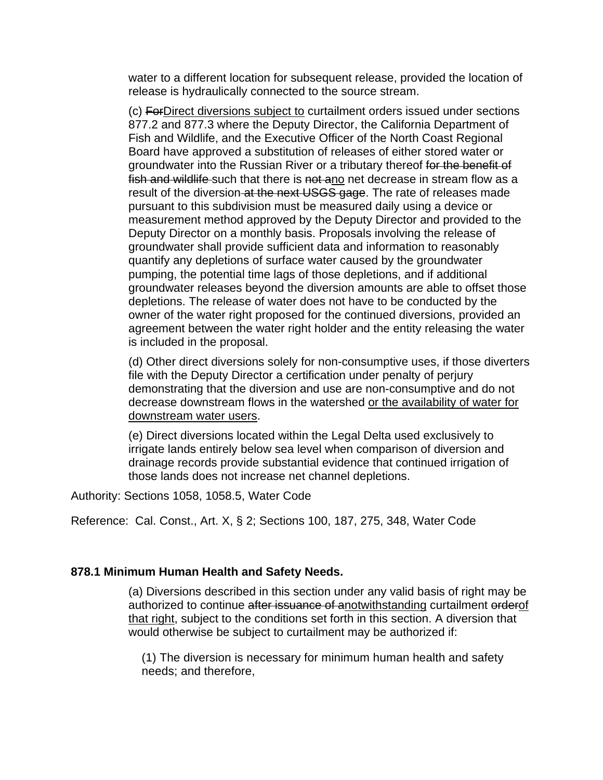water to a different location for subsequent release, provided the location of release is hydraulically connected to the source stream.

(c) ForDirect diversions subject to curtailment orders issued under sections 877.2 and 877.3 where the Deputy Director, the California Department of Fish and Wildlife, and the Executive Officer of the North Coast Regional Board have approved a substitution of releases of either stored water or groundwater into the Russian River or a tributary thereof for the benefit of fish and wildlife-such that there is not ano net decrease in stream flow as a result of the diversion at the next USGS gage. The rate of releases made pursuant to this subdivision must be measured daily using a device or measurement method approved by the Deputy Director and provided to the Deputy Director on a monthly basis. Proposals involving the release of groundwater shall provide sufficient data and information to reasonably quantify any depletions of surface water caused by the groundwater pumping, the potential time lags of those depletions, and if additional groundwater releases beyond the diversion amounts are able to offset those depletions. The release of water does not have to be conducted by the owner of the water right proposed for the continued diversions, provided an agreement between the water right holder and the entity releasing the water is included in the proposal.

(d) Other direct diversions solely for non-consumptive uses, if those diverters file with the Deputy Director a certification under penalty of perjury demonstrating that the diversion and use are non-consumptive and do not decrease downstream flows in the watershed or the availability of water for downstream water users.

(e) Direct diversions located within the Legal Delta used exclusively to irrigate lands entirely below sea level when comparison of diversion and drainage records provide substantial evidence that continued irrigation of those lands does not increase net channel depletions.

Authority: Sections 1058, 1058.5, Water Code

Reference: Cal. Const., Art. X, § 2; Sections 100, 187, 275, 348, Water Code

#### **878.1 Minimum Human Health and Safety Needs.**

(a) Diversions described in this section under any valid basis of right may be authorized to continue after issuance of anotwithstanding curtailment orderof that right, subject to the conditions set forth in this section. A diversion that would otherwise be subject to curtailment may be authorized if:

(1) The diversion is necessary for minimum human health and safety needs; and therefore,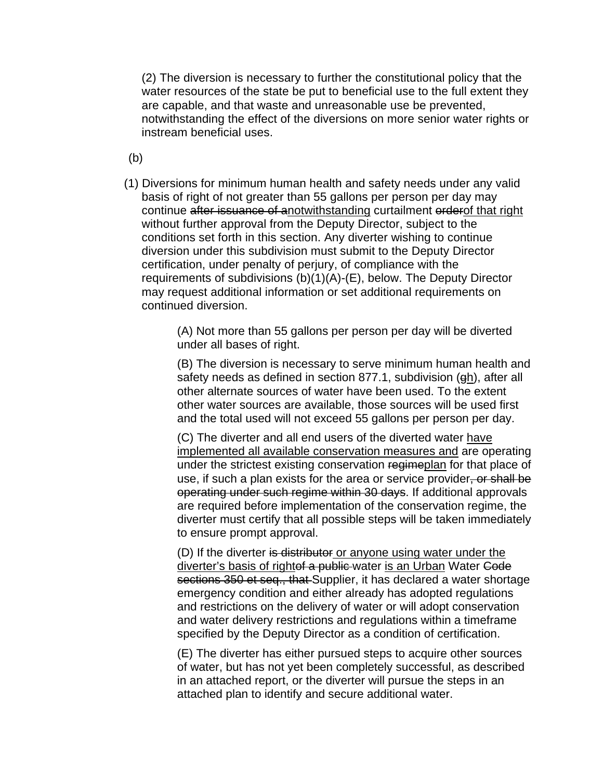(2) The diversion is necessary to further the constitutional policy that the water resources of the state be put to beneficial use to the full extent they are capable, and that waste and unreasonable use be prevented, notwithstanding the effect of the diversions on more senior water rights or instream beneficial uses.

(b)

(1) Diversions for minimum human health and safety needs under any valid basis of right of not greater than 55 gallons per person per day may continue after issuance of anotwithstanding curtailment orderof that right without further approval from the Deputy Director, subject to the conditions set forth in this section. Any diverter wishing to continue diversion under this subdivision must submit to the Deputy Director certification, under penalty of perjury, of compliance with the requirements of subdivisions (b)(1)(A)-(E), below. The Deputy Director may request additional information or set additional requirements on continued diversion.

> (A) Not more than 55 gallons per person per day will be diverted under all bases of right.

(B) The diversion is necessary to serve minimum human health and safety needs as defined in section 877.1, subdivision (gh), after all other alternate sources of water have been used. To the extent other water sources are available, those sources will be used first and the total used will not exceed 55 gallons per person per day.

(C) The diverter and all end users of the diverted water have implemented all available conservation measures and are operating under the strictest existing conservation regimeplan for that place of use, if such a plan exists for the area or service provider, or shall be operating under such regime within 30 days. If additional approvals are required before implementation of the conservation regime, the diverter must certify that all possible steps will be taken immediately to ensure prompt approval.

(D) If the diverter is distributor or anyone using water under the diverter's basis of rightef a public water is an Urban Water Code sections 350 et seq., that Supplier, it has declared a water shortage emergency condition and either already has adopted regulations and restrictions on the delivery of water or will adopt conservation and water delivery restrictions and regulations within a timeframe specified by the Deputy Director as a condition of certification.

(E) The diverter has either pursued steps to acquire other sources of water, but has not yet been completely successful, as described in an attached report, or the diverter will pursue the steps in an attached plan to identify and secure additional water.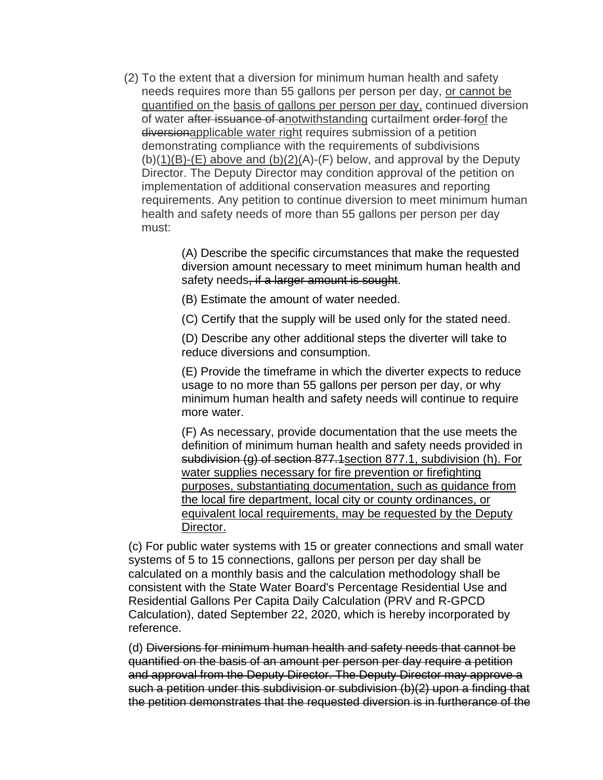(2) To the extent that a diversion for minimum human health and safety needs requires more than 55 gallons per person per day, or cannot be quantified on the basis of gallons per person per day, continued diversion of water after issuance of anotwithstanding curtailment order forof the diversionapplicable water right requires submission of a petition demonstrating compliance with the requirements of subdivisions  $(b)(1)(B)-(E)$  above and  $(b)(2)(A)-(F)$  below, and approval by the Deputy Director. The Deputy Director may condition approval of the petition on implementation of additional conservation measures and reporting requirements. Any petition to continue diversion to meet minimum human health and safety needs of more than 55 gallons per person per day must:

> (A) Describe the specific circumstances that make the requested diversion amount necessary to meet minimum human health and safety needs, if a larger amount is sought.

(B) Estimate the amount of water needed.

(C) Certify that the supply will be used only for the stated need.

(D) Describe any other additional steps the diverter will take to reduce diversions and consumption.

(E) Provide the timeframe in which the diverter expects to reduce usage to no more than 55 gallons per person per day, or why minimum human health and safety needs will continue to require more water.

(F) As necessary, provide documentation that the use meets the definition of minimum human health and safety needs provided in subdivision (g) of section 877.1 section 877.1, subdivision (h). For water supplies necessary for fire prevention or firefighting purposes, substantiating documentation, such as guidance from the local fire department, local city or county ordinances, or equivalent local requirements, may be requested by the Deputy Director.

(c) For public water systems with 15 or greater connections and small water systems of 5 to 15 connections, gallons per person per day shall be calculated on a monthly basis and the calculation methodology shall be consistent with the State Water Board's Percentage Residential Use and Residential Gallons Per Capita Daily Calculation (PRV and R-GPCD Calculation), dated September 22, 2020, which is hereby incorporated by reference.

(d) Diversions for minimum human health and safety needs that cannot be quantified on the basis of an amount per person per day require a petition and approval from the Deputy Director. The Deputy Director may approve a such a petition under this subdivision or subdivision (b)(2) upon a finding that the petition demonstrates that the requested diversion is in furtherance of the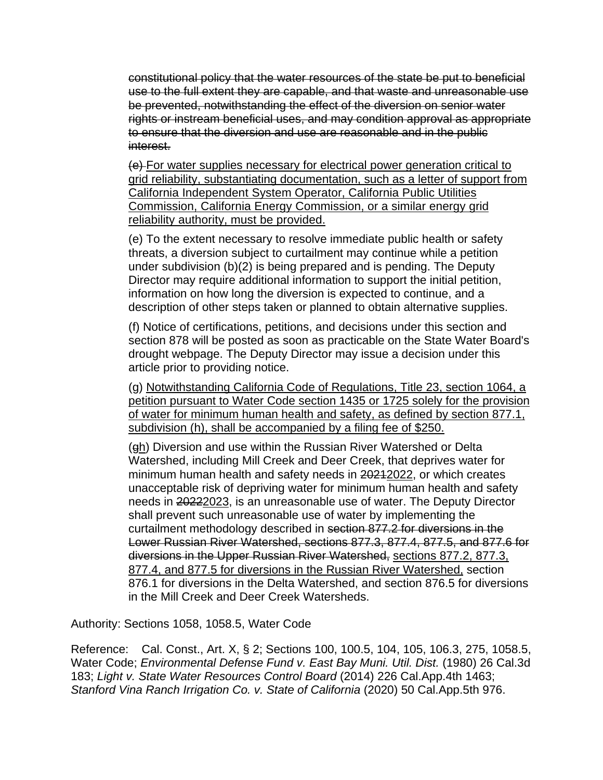constitutional policy that the water resources of the state be put to beneficial use to the full extent they are capable, and that waste and unreasonable use be prevented, notwithstanding the effect of the diversion on senior water rights or instream beneficial uses, and may condition approval as appropriate to ensure that the diversion and use are reasonable and in the public interest.

(e) For water supplies necessary for electrical power generation critical to grid reliability, substantiating documentation, such as a letter of support from California Independent System Operator, California Public Utilities Commission, California Energy Commission, or a similar energy grid reliability authority, must be provided.

(e) To the extent necessary to resolve immediate public health or safety threats, a diversion subject to curtailment may continue while a petition under subdivision (b)(2) is being prepared and is pending. The Deputy Director may require additional information to support the initial petition, information on how long the diversion is expected to continue, and a description of other steps taken or planned to obtain alternative supplies.

(f) Notice of certifications, petitions, and decisions under this section and section 878 will be posted as soon as practicable on the State Water Board's drought webpage. The Deputy Director may issue a decision under this article prior to providing notice.

(g) Notwithstanding California Code of Regulations, Title 23, section 1064, a petition pursuant to Water Code section 1435 or 1725 solely for the provision of water for minimum human health and safety, as defined by section 877.1, subdivision (h), shall be accompanied by a filing fee of \$250.

(gh) Diversion and use within the Russian River Watershed or Delta Watershed, including Mill Creek and Deer Creek, that deprives water for minimum human health and safety needs in 20212022, or which creates unacceptable risk of depriving water for minimum human health and safety needs in 20222023, is an unreasonable use of water. The Deputy Director shall prevent such unreasonable use of water by implementing the curtailment methodology described in section 877.2 for diversions in the Lower Russian River Watershed, sections 877.3, 877.4, 877.5, and 877.6 for diversions in the Upper Russian River Watershed, sections 877.2, 877.3, 877.4, and 877.5 for diversions in the Russian River Watershed, section 876.1 for diversions in the Delta Watershed, and section 876.5 for diversions in the Mill Creek and Deer Creek Watersheds.

Authority: Sections 1058, 1058.5, Water Code

Reference: Cal. Const., Art. X, § 2; Sections 100, 100.5, 104, 105, 106.3, 275, 1058.5, Water Code; *Environmental Defense Fund v. East Bay Muni. Util. Dist.* (1980) 26 Cal.3d 183; *Light v. State Water Resources Control Board* (2014) 226 Cal.App.4th 1463; *Stanford Vina Ranch Irrigation Co. v. State of California* (2020) 50 Cal.App.5th 976.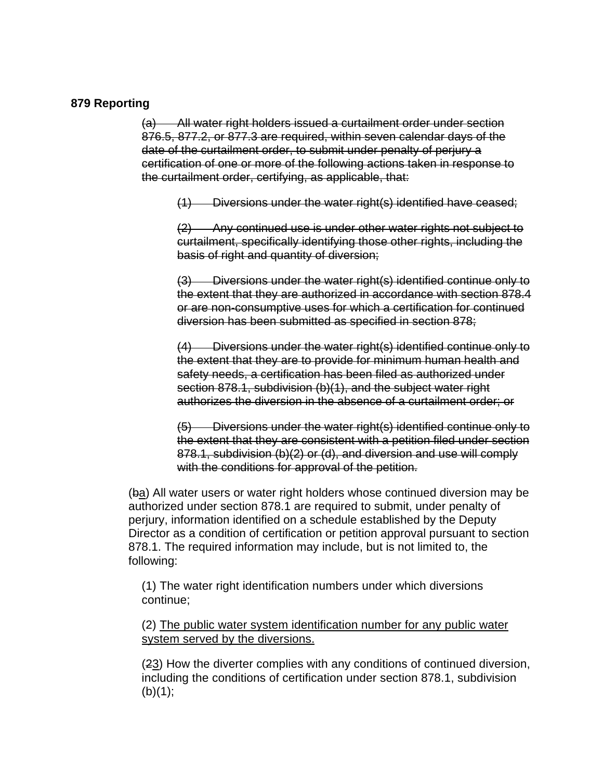#### **879 Reporting**

(a) All water right holders issued a curtailment order under section 876.5, 877.2, or 877.3 are required, within seven calendar days of the date of the curtailment order, to submit under penalty of perjury a certification of one or more of the following actions taken in response to the curtailment order, certifying, as applicable, that:

(1) Diversions under the water right(s) identified have ceased;

(2) Any continued use is under other water rights not subject to curtailment, specifically identifying those other rights, including the basis of right and quantity of diversion;

(3) Diversions under the water right(s) identified continue only to the extent that they are authorized in accordance with section 878.4 or are non-consumptive uses for which a certification for continued diversion has been submitted as specified in section 878;

(4) Diversions under the water right(s) identified continue only to the extent that they are to provide for minimum human health and safety needs, a certification has been filed as authorized under section 878.1, subdivision (b)(1), and the subject water right authorizes the diversion in the absence of a curtailment order; or

(5) Diversions under the water right(s) identified continue only to the extent that they are consistent with a petition filed under section 878.1, subdivision (b)(2) or (d), and diversion and use will comply with the conditions for approval of the petition.

(ba) All water users or water right holders whose continued diversion may be authorized under section 878.1 are required to submit, under penalty of perjury, information identified on a schedule established by the Deputy Director as a condition of certification or petition approval pursuant to section 878.1. The required information may include, but is not limited to, the following:

(1) The water right identification numbers under which diversions continue;

(2) The public water system identification number for any public water system served by the diversions.

(23) How the diverter complies with any conditions of continued diversion, including the conditions of certification under section 878.1, subdivision  $(b)(1);$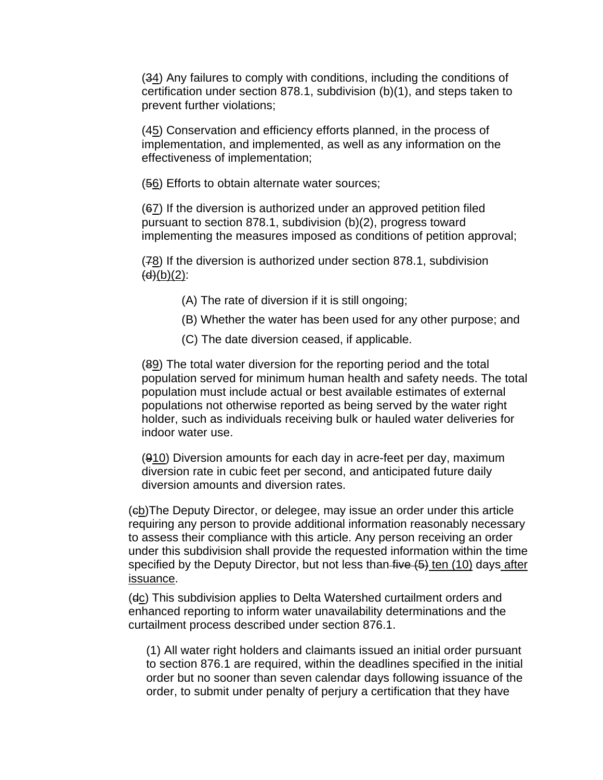(34) Any failures to comply with conditions, including the conditions of certification under section 878.1, subdivision (b)(1), and steps taken to prevent further violations;

(45) Conservation and efficiency efforts planned, in the process of implementation, and implemented, as well as any information on the effectiveness of implementation;

(56) Efforts to obtain alternate water sources;

(67) If the diversion is authorized under an approved petition filed pursuant to section 878.1, subdivision (b)(2), progress toward implementing the measures imposed as conditions of petition approval;

(78) If the diversion is authorized under section 878.1, subdivision  $(d)(b)(2)$ :

- (A) The rate of diversion if it is still ongoing;
- (B) Whether the water has been used for any other purpose; and
- (C) The date diversion ceased, if applicable.

(89) The total water diversion for the reporting period and the total population served for minimum human health and safety needs. The total population must include actual or best available estimates of external populations not otherwise reported as being served by the water right holder, such as individuals receiving bulk or hauled water deliveries for indoor water use.

(910) Diversion amounts for each day in acre-feet per day, maximum diversion rate in cubic feet per second, and anticipated future daily diversion amounts and diversion rates.

(cb)The Deputy Director, or delegee, may issue an order under this article requiring any person to provide additional information reasonably necessary to assess their compliance with this article. Any person receiving an order under this subdivision shall provide the requested information within the time specified by the Deputy Director, but not less than five (5) ten (10) days after issuance.

(dc) This subdivision applies to Delta Watershed curtailment orders and enhanced reporting to inform water unavailability determinations and the curtailment process described under section 876.1.

(1) All water right holders and claimants issued an initial order pursuant to section 876.1 are required, within the deadlines specified in the initial order but no sooner than seven calendar days following issuance of the order, to submit under penalty of perjury a certification that they have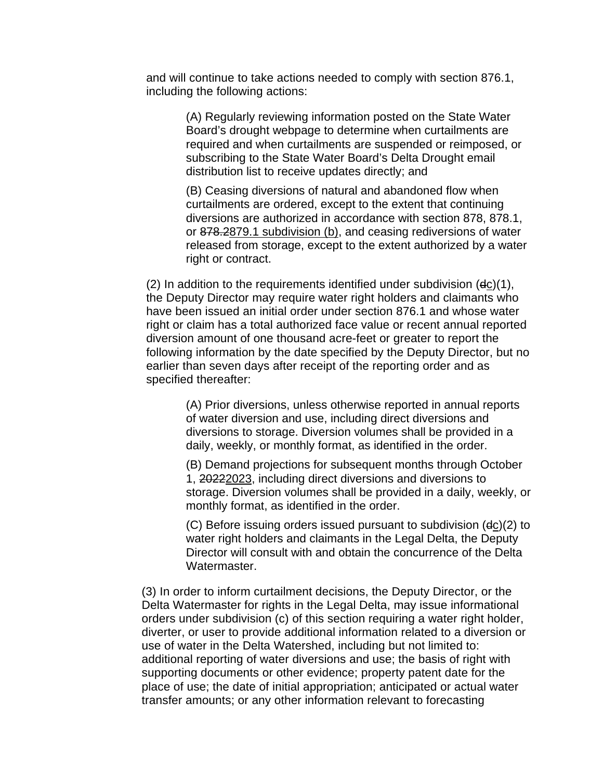and will continue to take actions needed to comply with section 876.1, including the following actions:

> (A) Regularly reviewing information posted on the State Water Board's drought webpage to determine when curtailments are required and when curtailments are suspended or reimposed, or subscribing to the State Water Board's Delta Drought email distribution list to receive updates directly; and

(B) Ceasing diversions of natural and abandoned flow when curtailments are ordered, except to the extent that continuing diversions are authorized in accordance with section 878, 878.1, or 878.2879.1 subdivision (b), and ceasing rediversions of water released from storage, except to the extent authorized by a water right or contract.

 $(2)$  In addition to the requirements identified under subdivision  $(dc)(1)$ , the Deputy Director may require water right holders and claimants who have been issued an initial order under section 876.1 and whose water right or claim has a total authorized face value or recent annual reported diversion amount of one thousand acre-feet or greater to report the following information by the date specified by the Deputy Director, but no earlier than seven days after receipt of the reporting order and as specified thereafter:

> (A) Prior diversions, unless otherwise reported in annual reports of water diversion and use, including direct diversions and diversions to storage. Diversion volumes shall be provided in a daily, weekly, or monthly format, as identified in the order.

(B) Demand projections for subsequent months through October 1, 20222023, including direct diversions and diversions to storage. Diversion volumes shall be provided in a daily, weekly, or monthly format, as identified in the order.

(C) Before issuing orders issued pursuant to subdivision (dc)(2) to water right holders and claimants in the Legal Delta, the Deputy Director will consult with and obtain the concurrence of the Delta Watermaster.

(3) In order to inform curtailment decisions, the Deputy Director, or the Delta Watermaster for rights in the Legal Delta, may issue informational orders under subdivision (c) of this section requiring a water right holder, diverter, or user to provide additional information related to a diversion or use of water in the Delta Watershed, including but not limited to: additional reporting of water diversions and use; the basis of right with supporting documents or other evidence; property patent date for the place of use; the date of initial appropriation; anticipated or actual water transfer amounts; or any other information relevant to forecasting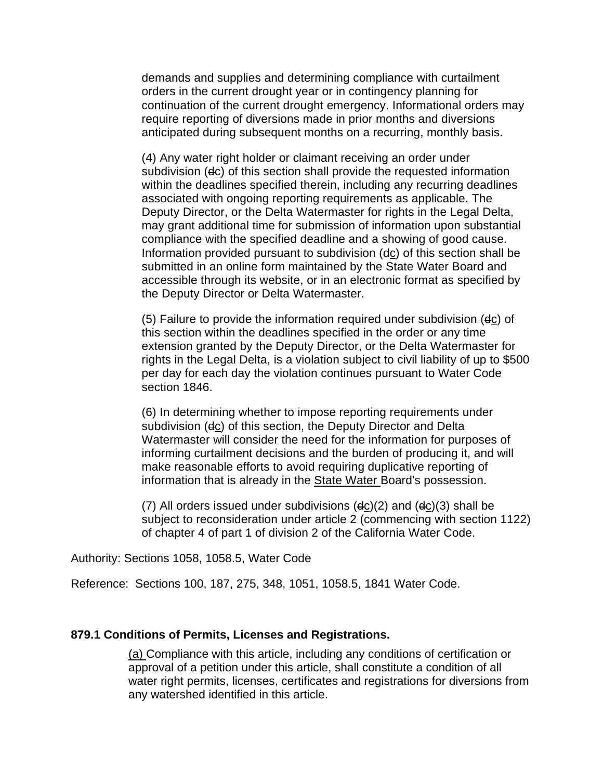demands and supplies and determining compliance with curtailment orders in the current drought year or in contingency planning for continuation of the current drought emergency. Informational orders may require reporting of diversions made in prior months and diversions anticipated during subsequent months on a recurring, monthly basis.

(4) Any water right holder or claimant receiving an order under subdivision (dc) of this section shall provide the requested information within the deadlines specified therein, including any recurring deadlines associated with ongoing reporting requirements as applicable. The Deputy Director, or the Delta Watermaster for rights in the Legal Delta, may grant additional time for submission of information upon substantial compliance with the specified deadline and a showing of good cause. Information provided pursuant to subdivision (dc) of this section shall be submitted in an online form maintained by the State Water Board and accessible through its website, or in an electronic format as specified by the Deputy Director or Delta Watermaster.

(5) Failure to provide the information required under subdivision (dc) of this section within the deadlines specified in the order or any time extension granted by the Deputy Director, or the Delta Watermaster for rights in the Legal Delta, is a violation subject to civil liability of up to \$500 per day for each day the violation continues pursuant to Water Code section 1846.

(6) In determining whether to impose reporting requirements under subdivision (dc) of this section, the Deputy Director and Delta Watermaster will consider the need for the information for purposes of informing curtailment decisions and the burden of producing it, and will make reasonable efforts to avoid requiring duplicative reporting of information that is already in the State Water Board's possession.

(7) All orders issued under subdivisions (dc)(2) and (dc)(3) shall be subject to reconsideration under article 2 (commencing with section 1122) of chapter 4 of part 1 of division 2 of the California Water Code.

Authority: Sections 1058, 1058.5, Water Code

Reference: Sections 100, 187, 275, 348, 1051, 1058.5, 1841 Water Code.

#### **879.1 Conditions of Permits, Licenses and Registrations.**

(a) Compliance with this article, including any conditions of certification or approval of a petition under this article, shall constitute a condition of all water right permits, licenses, certificates and registrations for diversions from any watershed identified in this article.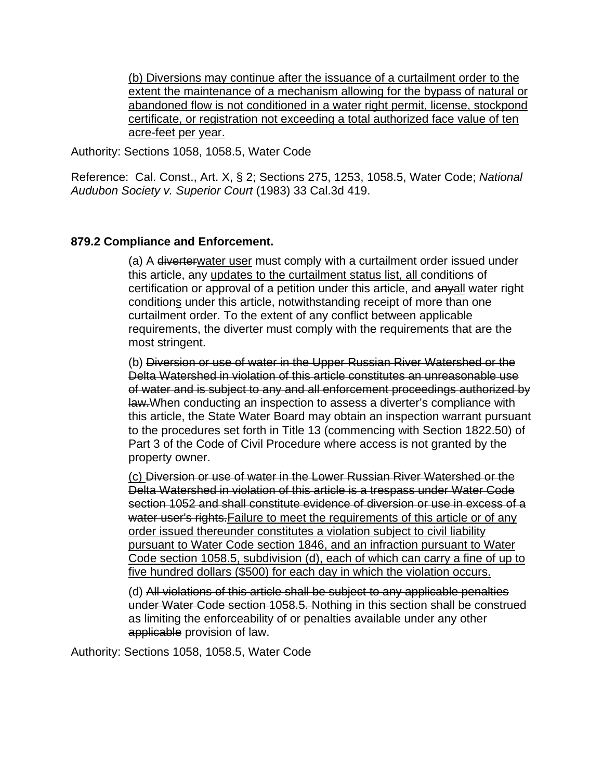(b) Diversions may continue after the issuance of a curtailment order to the extent the maintenance of a mechanism allowing for the bypass of natural or abandoned flow is not conditioned in a water right permit, license, stockpond certificate, or registration not exceeding a total authorized face value of ten acre-feet per year.

Authority: Sections 1058, 1058.5, Water Code

Reference: Cal. Const., Art. X, § 2; Sections 275, 1253, 1058.5, Water Code; *National Audubon Society v. Superior Court* (1983) 33 Cal.3d 419.

#### **879.2 Compliance and Enforcement.**

(a) A diverterwater user must comply with a curtailment order issued under this article, any updates to the curtailment status list, all conditions of certification or approval of a petition under this article, and anyall water right conditions under this article, notwithstanding receipt of more than one curtailment order. To the extent of any conflict between applicable requirements, the diverter must comply with the requirements that are the most stringent.

(b) Diversion or use of water in the Upper Russian River Watershed or the Delta Watershed in violation of this article constitutes an unreasonable use of water and is subject to any and all enforcement proceedings authorized by law. When conducting an inspection to assess a diverter's compliance with this article, the State Water Board may obtain an inspection warrant pursuant to the procedures set forth in Title 13 (commencing with Section 1822.50) of Part 3 of the Code of Civil Procedure where access is not granted by the property owner.

(c) Diversion or use of water in the Lower Russian River Watershed or the Delta Watershed in violation of this article is a trespass under Water Code section 1052 and shall constitute evidence of diversion or use in excess of a water user's rights. Failure to meet the requirements of this article or of any order issued thereunder constitutes a violation subject to civil liability pursuant to Water Code section 1846, and an infraction pursuant to Water Code section 1058.5, subdivision (d), each of which can carry a fine of up to five hundred dollars (\$500) for each day in which the violation occurs.

(d) All violations of this article shall be subject to any applicable penalties under Water Code section 1058.5. Nothing in this section shall be construed as limiting the enforceability of or penalties available under any other applicable provision of law.

Authority: Sections 1058, 1058.5, Water Code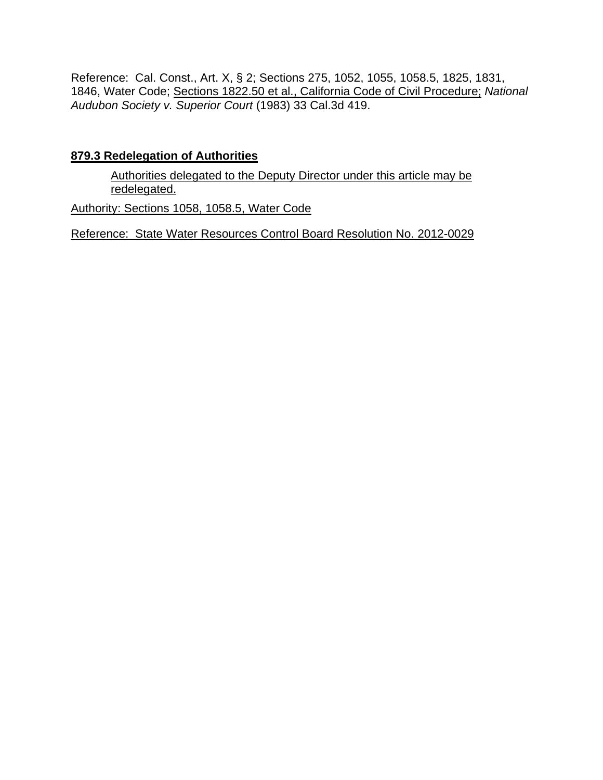Reference: Cal. Const., Art. X, § 2; Sections 275, 1052, 1055, 1058.5, 1825, 1831, 1846, Water Code; Sections 1822.50 et al., California Code of Civil Procedure; *National Audubon Society v. Superior Court* (1983) 33 Cal.3d 419.

#### **879.3 Redelegation of Authorities**

Authorities delegated to the Deputy Director under this article may be redelegated.

Authority: Sections 1058, 1058.5, Water Code

Reference: State Water Resources Control Board Resolution No. 2012-0029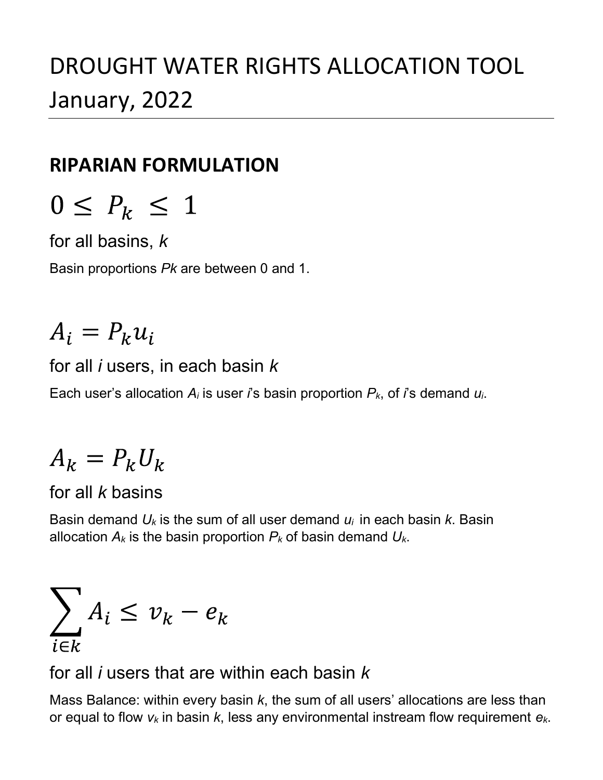## DROUGHT WATER RIGHTS ALLOCATION TOOL January, 2022

### RIPARIAN FORMULATION

for all basins, k

Basin proportions Pk are between 0 and 1.

# $A_i = P_k u_i$

for all  $i$  users, in each basin  $k$ 

Each user's allocation  $A_i$  is user i's basin proportion  $P_k$ , of i's demand  $u_i$ .

# $A_k = P_k U_k$

### for all k basins

Basin demand  $U_k$  is the sum of all user demand  $U_i$  in each basin k. Basin allocation  $A_k$  is the basin proportion  $P_k$  of basin demand  $U_k$ .

$$
\sum_{i \in k} A_i \leq v_k - e_k
$$

for all *i* users that are within each basin  $k$ 

Mass Balance: within every basin  $k$ , the sum of all users' allocations are less than or equal to flow  $v_k$  in basin  $k$ , less any environmental instream flow requirement  $e_k$ .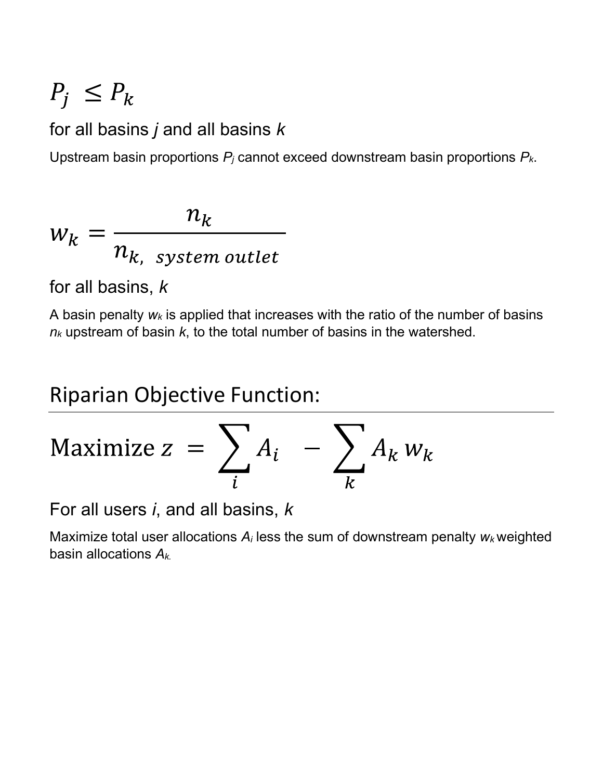# $P_i \leq P_k$

### for all basins  $j$  and all basins  $k$

Upstream basin proportions  $P_i$  cannot exceed downstream basin proportions  $P_k$ .

$$
w_k = \frac{n_k}{n_{k, system\,outlet}}
$$

for all basins, k

A basin penalty  $w_k$  is applied that increases with the ratio of the number of basins  $n_k$  upstream of basin  $k$ , to the total number of basins in the watershed.

### Riparian Objective Function:

$$
\text{Maximize } z = \sum_{i} A_i - \sum_{k} A_k w_k
$$

For all users  $i$ , and all basins,  $k$ 

Maximize total user allocations  $A_i$  less the sum of downstream penalty  $w_k$  weighted basin allocations  $A_{k}$ .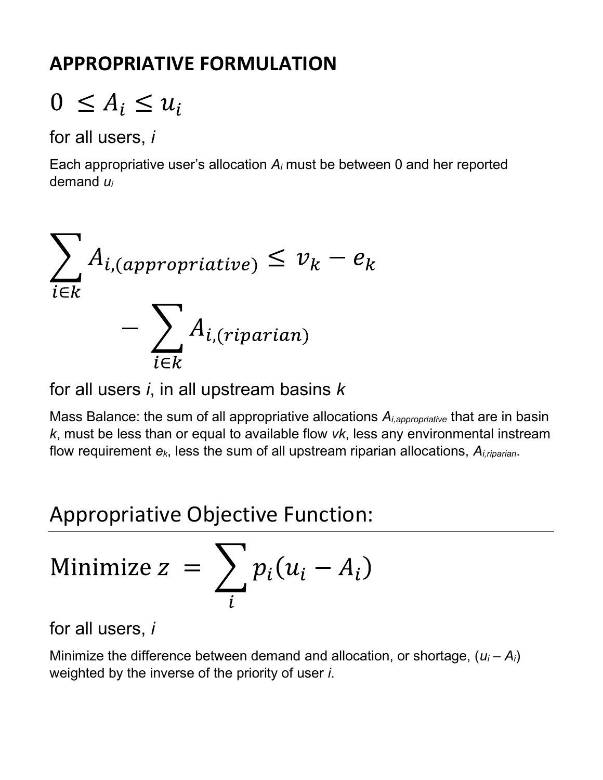### APPROPRIATIVE FORMULATION

# $0 \leq A_i \leq u_i$

for all users, i

Each appropriative user's allocation  $A_i$  must be between 0 and her reported demand  $u_i$ 



for all users  $i$ , in all upstream basins  $k$ 

Mass Balance: the sum of all appropriative allocations  $A_{i,approx}$  that are in basin k, must be less than or equal to available flow vk, less any environmental instream flow requirement  $e_k$ , less the sum of all upstream riparian allocations,  $A_{i,riparian}$ .

### Appropriative Objective Function:

Minimize 
$$
z = \sum_i p_i (u_i - A_i)
$$

for all users, i

Minimize the difference between demand and allocation, or shortage,  $(u_i - A_i)$ weighted by the inverse of the priority of user *i*.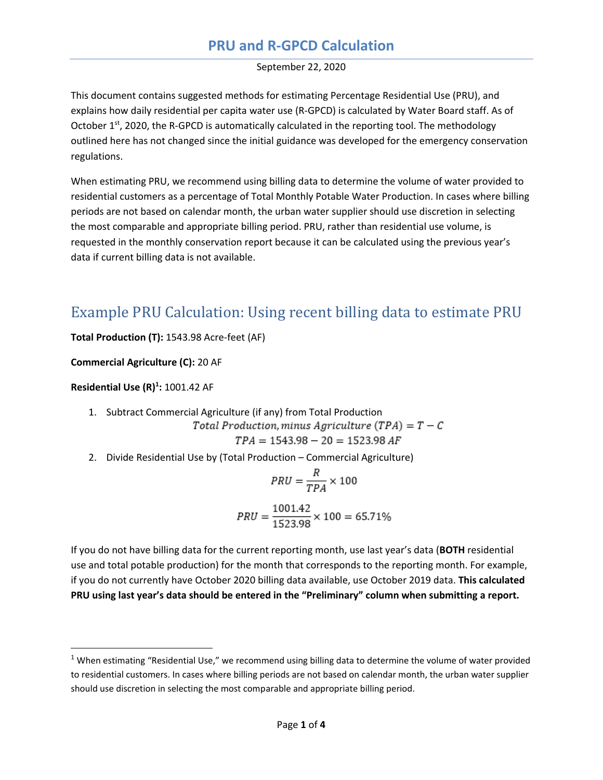#### **PRU and R-GPCD Calculation**

#### September 22, 2020

This document contains suggested methods for estimating Percentage Residential Use (PRU), and explains how daily residential per capita water use (R-GPCD) is calculated by Water Board staff. As of October  $1<sup>st</sup>$ , 2020, the R-GPCD is automatically calculated in the reporting tool. The methodology outlined here has not changed since the initial guidance was developed for the emergency conservation regulations.

When estimating PRU, we recommend using billing data to determine the volume of water provided to residential customers as a percentage of Total Monthly Potable Water Production. In cases where billing periods are not based on calendar month, the urban water supplier should use discretion in selecting the most comparable and appropriate billing period. PRU, rather than residential use volume, is requested in the monthly conservation report because it can be calculated using the previous year's data if current billing data is not available.

### Example PRU Calculation: Using recent billing data to estimate PRU

**Total Production (T):** 1543.98 Acre-feet (AF)

**Commercial Agriculture (C):** 20 AF

**Residential Use (R)[1](#page-42-0) :** 1001.42 AF

1. Subtract Commercial Agriculture (if any) from Total Production  
\nTotal Production, minus Agriculture (TPA) = 
$$
T - C
$$

$$
TPA = 1543.98 - 20 = 1523.98
$$

2. Divide Residential Use by (Total Production – Commercial Agriculture)

$$
PRU = \frac{R}{TPA} \times 100
$$

$$
PRU = \frac{1001.42}{1523.98} \times 100 = 65.71\%
$$

If you do not have billing data for the current reporting month, use last year's data (**BOTH** residential use and total potable production) for the month that corresponds to the reporting month. For example, if you do not currently have October 2020 billing data available, use October 2019 data. **This calculated PRU using last year's data should be entered in the "Preliminary" column when submitting a report.**

<span id="page-42-0"></span> $1$  When estimating "Residential Use," we recommend using billing data to determine the volume of water provided to residential customers. In cases where billing periods are not based on calendar month, the urban water supplier should use discretion in selecting the most comparable and appropriate billing period.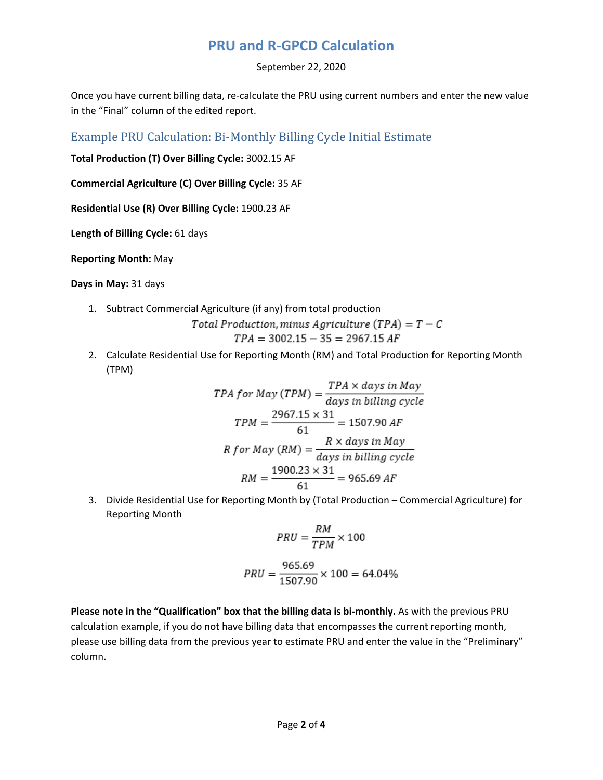#### **PRU and R-GPCD Calculation**

September 22, 2020

Once you have current billing data, re-calculate the PRU using current numbers and enter the new value in the "Final" column of the edited report.

Example PRU Calculation: Bi-Monthly Billing Cycle Initial Estimate

**Total Production (T) Over Billing Cycle:** 3002.15 AF

**Commercial Agriculture (C) Over Billing Cycle:** 35 AF

**Residential Use (R) Over Billing Cycle:** 1900.23 AF

**Length of Billing Cycle:** 61 days

**Reporting Month:** May

**Days in May:** 31 days

1. Subtract Commercial Agriculture (if any) from total production

$$
Total \, Production, minus \, Agriculture \ (TPA) = T - C
$$

$$
TPA = 3002.15 - 35 = 2967.15 \, AF
$$

2. Calculate Residential Use for Reporting Month (RM) and Total Production for Reporting Month (TPM)

*TPA for May (TPM)* = 
$$
\frac{TPA \times days \text{ in } May}{days \text{ in } billion \text{ cycle}}
$$
\n*TPM* = 
$$
\frac{2967.15 \times 31}{61}
$$
 = 1507.90 *AF*  
\n*R for May (RM)* = 
$$
\frac{R \times days \text{ in } May}{days \text{ in } billion \text{ cycle}}
$$
\n*RM* = 
$$
\frac{1900.23 \times 31}{61}
$$
 = 965.69 *AF*

3. Divide Residential Use for Reporting Month by (Total Production – Commercial Agriculture) for Reporting Month

$$
PRU = \frac{RM}{TPM} \times 100
$$

$$
PRU = \frac{965.69}{1507.90} \times 100 = 64.04\%
$$

**Please note in the "Qualification" box that the billing data is bi-monthly.** As with the previous PRU calculation example, if you do not have billing data that encompasses the current reporting month, please use billing data from the previous year to estimate PRU and enter the value in the "Preliminary" column.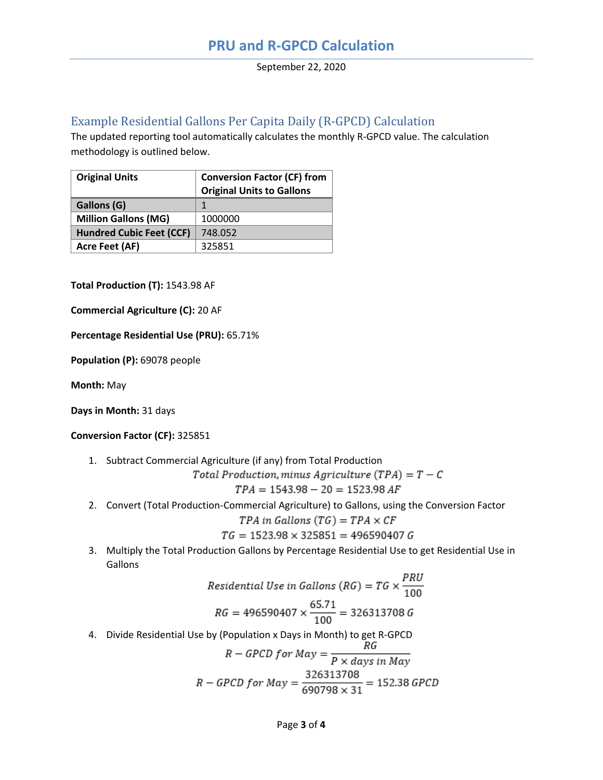#### Example Residential Gallons Per Capita Daily (R-GPCD) Calculation

The updated reporting tool automatically calculates the monthly R-GPCD value. The calculation methodology is outlined below.

| <b>Original Units</b>           | <b>Conversion Factor (CF) from</b><br><b>Original Units to Gallons</b> |
|---------------------------------|------------------------------------------------------------------------|
| Gallons (G)                     | $\mathbf 1$                                                            |
| <b>Million Gallons (MG)</b>     | 1000000                                                                |
| <b>Hundred Cubic Feet (CCF)</b> | 748.052                                                                |
| <b>Acre Feet (AF)</b>           | 325851                                                                 |

**Total Production (T):** 1543.98 AF

**Commercial Agriculture (C):** 20 AF

**Percentage Residential Use (PRU):** 65.71%

**Population (P):** 69078 people

**Month:** May

**Days in Month:** 31 days

**Conversion Factor (CF):** 325851

1. Subtract Commercial Agriculture (if any) from Total Production

Total Production, minus Agriculture (TPA) =  $T - C$  $TPA = 1543.98 - 20 = 1523.98$  AF

2. Convert (Total Production-Commercial Agriculture) to Gallons, using the Conversion Factor

*TPA in Gallons* 
$$
(TG) = TPA \times CF
$$

$$
TG = 1523.98 \times 325851 = 496590407 G
$$

3. Multiply the Total Production Gallons by Percentage Residential Use to get Residential Use in Gallons

Residental Use in Gallons (RG) = 
$$
TG \times \frac{PRU}{100}
$$
  
RG = 496590407 ×  $\frac{65.71}{100}$  = 326313708 G

4. Divide Residential Use by (Population x Days in Month) to get R-GPCD

$$
R - GPCD \text{ for } May = \frac{K\sigma}{P \times days \text{ in } May}
$$
\n
$$
R - GPCD \text{ for } May = \frac{326313708}{690798 \times 31} = 152.38 \text{ GPCD}
$$